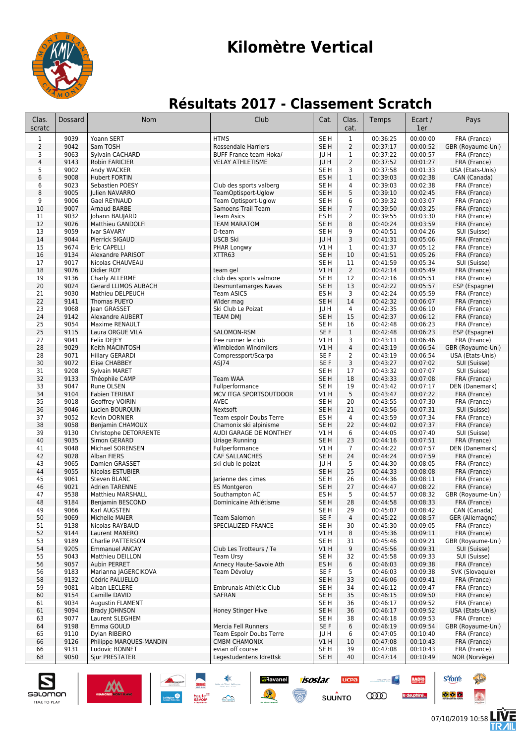

# **Kilomètre Vertical**

# **Résultats 2017 - Classement Scratch**

| $\mathbf 1$<br>9039<br><b>HTMS</b><br>SE <sub>H</sub><br>$\mathbf{1}$<br>00:36:25<br>00:00:00<br>Yoann SERT<br>$\overline{2}$<br>9042<br>SE <sub>H</sub><br>$\overline{2}$<br>00:37:17<br>00:00:52<br>Sam TOSH<br><b>Rossendale Harriers</b><br>3<br>9063<br>00:00:57<br>Sylvain CACHARD<br>BUFF France team Hoka/<br>JU H<br>1<br>00:37:22<br>4<br>$\overline{2}$<br>9143<br>00:01:27<br><b>Robin FARICIER</b><br><b>VELAY ATHLETISME</b><br>JU H<br>00:37:52<br>FRA (France)<br>5<br>9002<br>3<br>00:37:58<br>00:01:33<br>Andy WACKER<br>SE <sub>H</sub><br>USA (Etats-Unis)<br>6<br>9008<br>ES H<br>$\mathbf{1}$<br>00:02:38<br><b>Hubert FORTIN</b><br>00:39:03<br>CAN (Canada)<br>6<br>9023<br>SE <sub>H</sub><br>00:02:38<br>Sebastien POESY<br>Club des sports valberg<br>4<br>00:39:03<br>FRA (France)<br>8<br>9005<br>5<br>Julien NAVARRO<br>TeamOptisport-Uglow<br>SE <sub>H</sub><br>00:39:10<br>00:02:45<br>9<br>9006<br>Gael REYNAUD<br>Team Optisport-Uglow<br>SE H<br>6<br>00:39:32<br>00:03:07<br>9007<br>$\overline{7}$<br>10<br>Arnaud BARBE<br>Samoens Trail Team<br>SE <sub>H</sub><br>00:39:50<br>00:03:25<br>11<br>9032<br><b>Team Asics</b><br>ES H<br>2<br>00:39:55<br>00:03:30<br>Johann BAUJARD<br>9026<br>8<br>00:03:59<br>12<br>SE <sub>H</sub><br>00:40:24<br>FRA (France)<br>Matthieu GANDOLFI<br><b>TEAM MARATOM</b><br>13<br>9059<br>SE <sub>H</sub><br>9<br>00:04:26<br>D-team<br>SUI (Suisse)<br>Ivar SAVARY<br>00:40:51<br>14<br>9044<br>3<br>00:05:06<br>Pierrick SIGAUD<br><b>USCB Ski</b><br>JU H<br>00:41:31<br>FRA (France)<br>9674<br>00:05:12<br>15<br>Eric CAPELLI<br>PHAR Longwy<br>V1 H<br>1<br>00:41:37<br>FRA (France)<br>9134<br>SE <sub>H</sub><br>00:05:26<br>16<br>Alexandre PARISOT<br>XTTR63<br>10<br>00:41:51<br>FRA (France)<br>9017<br>00:05:34<br>17<br>Nicolas CHAUVEAU<br>SE H<br>11<br>00:41:59<br>18<br>9076<br>$\overline{2}$<br>00:05:49<br>Didier ROY<br>V1 H<br>00:42:14<br>team gel<br>9136<br>SE <sub>H</sub><br>19<br>Charly ALLERME<br>club des sports valmore<br>12<br>00:42:16<br>00:05:51<br>9024<br>SE <sub>H</sub><br>20<br>Gerard LLIMOS AUBACH<br>Desmuntamarges Navas<br>13<br>00:42:22<br>00:05:57<br>9030<br>21<br>Mathieu DELPEUCH<br><b>Team ASICS</b><br>ES H<br>3<br>00:42:24<br>00:05:59<br>FRA (France)<br>9141<br>22<br>Thomas PUEYO<br>Wider mag<br>SE <sub>H</sub><br>14<br>00:42:32<br>00:06:07<br>FRA (France)<br>9068<br>23<br>Ski Club Le Poizat<br>JU H<br>4<br>00:42:35<br>00:06:10<br>lean GRASSET<br>FRA (France)<br>24<br>9142<br>SE <sub>H</sub><br>Alexandre AUBERT<br>15<br>00:42:37<br>00:06:12<br>FRA (France)<br>TEAM DMJ<br>25<br>9054<br>SE <sub>H</sub><br>16<br>00:42:48<br>00:06:23<br>FRA (France)<br>Maxime RENAULT<br>25<br>9115<br>SE F<br>$\mathbf{1}$<br>00:06:23<br>Laura ORGUE VILA<br><b>SALOMON-RSM</b><br>00:42:48<br>9041<br>00:06:46<br>27<br>Felix DEJEY<br>free runner le club<br>V1 H<br>3<br>00:43:11<br>28<br>9029<br>$\overline{4}$<br>00:06:54<br>Keith MACINTOSH<br>Wimbledon Windmilers<br>V1 H<br>00:43:19<br>9071<br>$\overline{2}$<br>00:06:54<br>28<br>Hillary GERARDI<br>SE F<br>00:43:19<br>Compressport/Scarpa<br>9072<br>SE F<br>3<br>30<br>Elise CHABBEY<br>00:43:27<br>00:07:02<br>SUI (Suisse)<br>ASJ74<br>9208<br>SE <sub>H</sub><br>00:07:07<br>31<br>Sylvain MARET<br>17<br>00:43:32<br>SUI (Suisse)<br>9133<br>SE <sub>H</sub><br>32<br>Théophile CAMP<br>Team WAA<br>18<br>00:43:33<br>00:07:08<br>FRA (France)<br>9047<br>33<br>Rune OLSEN<br>SE H<br>19<br>00:43:42<br>00:07:17<br>DEN (Danemark)<br>Fullperformance<br>9104<br>5<br>00:07:22<br>34<br>Fabien TERIBAT<br>MCV ITGA SPORTSOUTDOOR<br>V1 H<br>00:43:47<br>35<br>9018<br>Geoffrey VOIRIN<br><b>AVEC</b><br>SE H<br>20<br>00:43:55<br>00:07:30<br>9046<br>SE <sub>H</sub><br>36<br>Lucien BOURQUIN<br>Nextsoft<br>21<br>00:43:56<br>00:07:31<br>9052<br>37<br>Kevin DORNIER<br>Team espoir Doubs Terre<br>ES H<br>4<br>00:07:34<br>00:43:59<br>38<br>9058<br>SE <sub>H</sub><br>22<br>00:07:37<br>Benjamin CHAMOUX<br>Chamonix ski alpinisme<br>00:44:02<br>FRA (France)<br>39<br>9130<br>00:07:40<br>Christophe DETORRENTE<br>AUDI GARAGE DE MONTHEY<br>V1 H<br>6<br>00:44:05<br>SUI (Suisse)<br>9035<br>SE <sub>H</sub><br>00:07:51<br>40<br>Simon GERARD<br>23<br>00:44:16<br>FRA (France)<br>Uriage Running<br>9048<br>V1 H<br>00:07:57<br>41<br>Michael SORENSEN<br>$\overline{7}$<br>00:44:22<br>DEN (Danemark)<br>Fullperformance<br>9028<br>SE <sub>H</sub><br>24<br>00:07:59<br>42<br>Alban FIERS<br>CAF SALLANCHES<br>00:44:24<br>9065<br>00:08:05<br>43<br>Damien GRASSET<br>5<br>00:44:30<br>ski club le poizat<br>JU H<br>9055<br>25<br>44<br><b>Nicolas ESTUBIER</b><br>SE <sub>H</sub><br>00:44:33<br>00:08:08<br>9061<br>SE <sub>H</sub><br>00:08:11<br>45<br>Steven BLANC<br>Jarienne des cimes<br>26<br>00:44:36<br>9021<br>46<br><b>Adrien TARENNE</b><br><b>ES Montgeron</b><br>SE <sub>H</sub><br>27<br>00:44:47<br>00:08:22<br>47<br>9538<br>Southampton AC<br>ES H<br>5<br>00:44:57<br>00:08:32<br>Matthieu MARSHALL<br>GBR (Royaume-Uni)<br>48<br>9184<br>Dominicaine Athlétisme<br>SE <sub>H</sub><br>28<br>00:44:58<br>00:08:33<br>Benjamin BESCOND<br>FRA (France)<br>SE H<br>00:08:42<br>49<br>9066<br>Karl AUGSTEN<br>29<br>00:45:07<br>CAN (Canada)<br>SE F<br>50<br><b>Team Salomon</b><br>4<br>00:45:22<br>00:08:57<br>GER (Allemagne)<br>9069<br>Michelle MAIER<br>9138<br>SPECIALIZED FRANCE<br>SE H<br>30<br>00:45:30<br>00:09:05<br>51<br>Nicolas RAYBAUD<br>52<br>9144<br>Laurent MANERO<br>V1 H<br>8<br>00:45:36<br>00:09:11<br>53<br>9189<br>SE H<br>00:45:46<br>00:09:21<br>Charlie PATTERSON<br>31<br>9205<br>9<br>54<br><b>Emmanuel ANCAY</b><br>Club Les Trotteurs / Te<br>V1 H<br>00:45:56<br>00:09:31<br>SE H<br>00:45:58<br>00:09:33<br>SUI (Suisse)<br>55<br>9043<br>Matthieu DEILLON<br>Team Ursy<br>32<br>Annecy Haute-Savoie Ath<br>56<br>9057<br>Aubin PERRET<br>ES H<br>6<br>00:46:03<br>00:09:38<br>FRA (France)<br>56<br>9183<br>Marianna JAGERCIKOVA<br>Team Dévoluy<br>SE F<br>5<br>00:46:03<br>00:09:38<br>SVK (Slovaquie)<br>58<br>9132<br>Cédric PALUELLO<br>SE H<br>33<br>00:46:06<br>00:09:41<br>FRA (France)<br>Embrunais Athlétic Club<br>34<br>00:09:47<br>59<br>9081<br>Alban LECLERE<br>SE H<br>00:46:12<br>60<br>9154<br>SE H<br>35<br>00:09:50<br>Camille DAVID<br>SAFRAN<br>00:46:15<br>9034<br>00:09:52<br>61<br><b>Augustin FLAMENT</b><br>SE H<br>36<br>00:46:17<br>61<br>9094<br>Honey Stinger Hive<br>SE H<br>36<br>00:46:17<br>00:09:52<br><b>Brady JOHNSON</b><br>63<br>9077<br>Laurent SLEGHEM<br>SE H<br>38<br>00:46:18<br>00:09:53<br>64<br>9198<br>Emma GOULD<br>Mercia Fell Runners<br>SE F<br>6<br>00:46:19<br>00:09:54<br>9110<br>Team Espoir Doubs Terre<br>00:47:05<br>00:10:40<br>65<br>Dylan RIBEIRO<br>JU H<br>6 | Clas.<br>scratc | Dossard | Nom | Club | Cat. | Clas.<br>cat. | Temps | Ecart /<br>1er | Pays                         |
|-------------------------------------------------------------------------------------------------------------------------------------------------------------------------------------------------------------------------------------------------------------------------------------------------------------------------------------------------------------------------------------------------------------------------------------------------------------------------------------------------------------------------------------------------------------------------------------------------------------------------------------------------------------------------------------------------------------------------------------------------------------------------------------------------------------------------------------------------------------------------------------------------------------------------------------------------------------------------------------------------------------------------------------------------------------------------------------------------------------------------------------------------------------------------------------------------------------------------------------------------------------------------------------------------------------------------------------------------------------------------------------------------------------------------------------------------------------------------------------------------------------------------------------------------------------------------------------------------------------------------------------------------------------------------------------------------------------------------------------------------------------------------------------------------------------------------------------------------------------------------------------------------------------------------------------------------------------------------------------------------------------------------------------------------------------------------------------------------------------------------------------------------------------------------------------------------------------------------------------------------------------------------------------------------------------------------------------------------------------------------------------------------------------------------------------------------------------------------------------------------------------------------------------------------------------------------------------------------------------------------------------------------------------------------------------------------------------------------------------------------------------------------------------------------------------------------------------------------------------------------------------------------------------------------------------------------------------------------------------------------------------------------------------------------------------------------------------------------------------------------------------------------------------------------------------------------------------------------------------------------------------------------------------------------------------------------------------------------------------------------------------------------------------------------------------------------------------------------------------------------------------------------------------------------------------------------------------------------------------------------------------------------------------------------------------------------------------------------------------------------------------------------------------------------------------------------------------------------------------------------------------------------------------------------------------------------------------------------------------------------------------------------------------------------------------------------------------------------------------------------------------------------------------------------------------------------------------------------------------------------------------------------------------------------------------------------------------------------------------------------------------------------------------------------------------------------------------------------------------------------------------------------------------------------------------------------------------------------------------------------------------------------------------------------------------------------------------------------------------------------------------------------------------------------------------------------------------------------------------------------------------------------------------------------------------------------------------------------------------------------------------------------------------------------------------------------------------------------------------------------------------------------------------------------------------------------------------------------------------------------------------------------------------------------------------------------------------------------------------------------------------------------------------------------------------------------------------------------------------------------------------------------------------------------------------------------------------------------------------------------------------------------------------------------------------------------------------------------------------------------------------------------------------------------------------------------------------------------------------------------------------------------------------------------------------------------------------------------------------------------------------------------------------------------------------------------------------------------------------------------------------------------------------------------------------------------------------------------------------------------------------------------------------------------------------------------------------------------------------------------------------------------------------------------------------------------------------------------------------------------------------------------------------------------------------------------------------------------------------------------------------------------------------------------------------------------------------------------------------------------------------------------------------------------------------------------|-----------------|---------|-----|------|------|---------------|-------|----------------|------------------------------|
|                                                                                                                                                                                                                                                                                                                                                                                                                                                                                                                                                                                                                                                                                                                                                                                                                                                                                                                                                                                                                                                                                                                                                                                                                                                                                                                                                                                                                                                                                                                                                                                                                                                                                                                                                                                                                                                                                                                                                                                                                                                                                                                                                                                                                                                                                                                                                                                                                                                                                                                                                                                                                                                                                                                                                                                                                                                                                                                                                                                                                                                                                                                                                                                                                                                                                                                                                                                                                                                                                                                                                                                                                                                                                                                                                                                                                                                                                                                                                                                                                                                                                                                                                                                                                                                                                                                                                                                                                                                                                                                                                                                                                                                                                                                                                                                                                                                                                                                                                                                                                                                                                                                                                                                                                                                                                                                                                                                                                                                                                                                                                                                                                                                                                                                                                                                                                                                                                                                                                                                                                                                                                                                                                                                                                                                                                                                                                                                                                                                                                                                                                                                                                                                                                                                                                                                                                         |                 |         |     |      |      |               |       |                | FRA (France)                 |
|                                                                                                                                                                                                                                                                                                                                                                                                                                                                                                                                                                                                                                                                                                                                                                                                                                                                                                                                                                                                                                                                                                                                                                                                                                                                                                                                                                                                                                                                                                                                                                                                                                                                                                                                                                                                                                                                                                                                                                                                                                                                                                                                                                                                                                                                                                                                                                                                                                                                                                                                                                                                                                                                                                                                                                                                                                                                                                                                                                                                                                                                                                                                                                                                                                                                                                                                                                                                                                                                                                                                                                                                                                                                                                                                                                                                                                                                                                                                                                                                                                                                                                                                                                                                                                                                                                                                                                                                                                                                                                                                                                                                                                                                                                                                                                                                                                                                                                                                                                                                                                                                                                                                                                                                                                                                                                                                                                                                                                                                                                                                                                                                                                                                                                                                                                                                                                                                                                                                                                                                                                                                                                                                                                                                                                                                                                                                                                                                                                                                                                                                                                                                                                                                                                                                                                                                                         |                 |         |     |      |      |               |       |                | GBR (Royaume-Uni)            |
|                                                                                                                                                                                                                                                                                                                                                                                                                                                                                                                                                                                                                                                                                                                                                                                                                                                                                                                                                                                                                                                                                                                                                                                                                                                                                                                                                                                                                                                                                                                                                                                                                                                                                                                                                                                                                                                                                                                                                                                                                                                                                                                                                                                                                                                                                                                                                                                                                                                                                                                                                                                                                                                                                                                                                                                                                                                                                                                                                                                                                                                                                                                                                                                                                                                                                                                                                                                                                                                                                                                                                                                                                                                                                                                                                                                                                                                                                                                                                                                                                                                                                                                                                                                                                                                                                                                                                                                                                                                                                                                                                                                                                                                                                                                                                                                                                                                                                                                                                                                                                                                                                                                                                                                                                                                                                                                                                                                                                                                                                                                                                                                                                                                                                                                                                                                                                                                                                                                                                                                                                                                                                                                                                                                                                                                                                                                                                                                                                                                                                                                                                                                                                                                                                                                                                                                                                         |                 |         |     |      |      |               |       |                | FRA (France)                 |
|                                                                                                                                                                                                                                                                                                                                                                                                                                                                                                                                                                                                                                                                                                                                                                                                                                                                                                                                                                                                                                                                                                                                                                                                                                                                                                                                                                                                                                                                                                                                                                                                                                                                                                                                                                                                                                                                                                                                                                                                                                                                                                                                                                                                                                                                                                                                                                                                                                                                                                                                                                                                                                                                                                                                                                                                                                                                                                                                                                                                                                                                                                                                                                                                                                                                                                                                                                                                                                                                                                                                                                                                                                                                                                                                                                                                                                                                                                                                                                                                                                                                                                                                                                                                                                                                                                                                                                                                                                                                                                                                                                                                                                                                                                                                                                                                                                                                                                                                                                                                                                                                                                                                                                                                                                                                                                                                                                                                                                                                                                                                                                                                                                                                                                                                                                                                                                                                                                                                                                                                                                                                                                                                                                                                                                                                                                                                                                                                                                                                                                                                                                                                                                                                                                                                                                                                                         |                 |         |     |      |      |               |       |                |                              |
|                                                                                                                                                                                                                                                                                                                                                                                                                                                                                                                                                                                                                                                                                                                                                                                                                                                                                                                                                                                                                                                                                                                                                                                                                                                                                                                                                                                                                                                                                                                                                                                                                                                                                                                                                                                                                                                                                                                                                                                                                                                                                                                                                                                                                                                                                                                                                                                                                                                                                                                                                                                                                                                                                                                                                                                                                                                                                                                                                                                                                                                                                                                                                                                                                                                                                                                                                                                                                                                                                                                                                                                                                                                                                                                                                                                                                                                                                                                                                                                                                                                                                                                                                                                                                                                                                                                                                                                                                                                                                                                                                                                                                                                                                                                                                                                                                                                                                                                                                                                                                                                                                                                                                                                                                                                                                                                                                                                                                                                                                                                                                                                                                                                                                                                                                                                                                                                                                                                                                                                                                                                                                                                                                                                                                                                                                                                                                                                                                                                                                                                                                                                                                                                                                                                                                                                                                         |                 |         |     |      |      |               |       |                |                              |
|                                                                                                                                                                                                                                                                                                                                                                                                                                                                                                                                                                                                                                                                                                                                                                                                                                                                                                                                                                                                                                                                                                                                                                                                                                                                                                                                                                                                                                                                                                                                                                                                                                                                                                                                                                                                                                                                                                                                                                                                                                                                                                                                                                                                                                                                                                                                                                                                                                                                                                                                                                                                                                                                                                                                                                                                                                                                                                                                                                                                                                                                                                                                                                                                                                                                                                                                                                                                                                                                                                                                                                                                                                                                                                                                                                                                                                                                                                                                                                                                                                                                                                                                                                                                                                                                                                                                                                                                                                                                                                                                                                                                                                                                                                                                                                                                                                                                                                                                                                                                                                                                                                                                                                                                                                                                                                                                                                                                                                                                                                                                                                                                                                                                                                                                                                                                                                                                                                                                                                                                                                                                                                                                                                                                                                                                                                                                                                                                                                                                                                                                                                                                                                                                                                                                                                                                                         |                 |         |     |      |      |               |       |                |                              |
|                                                                                                                                                                                                                                                                                                                                                                                                                                                                                                                                                                                                                                                                                                                                                                                                                                                                                                                                                                                                                                                                                                                                                                                                                                                                                                                                                                                                                                                                                                                                                                                                                                                                                                                                                                                                                                                                                                                                                                                                                                                                                                                                                                                                                                                                                                                                                                                                                                                                                                                                                                                                                                                                                                                                                                                                                                                                                                                                                                                                                                                                                                                                                                                                                                                                                                                                                                                                                                                                                                                                                                                                                                                                                                                                                                                                                                                                                                                                                                                                                                                                                                                                                                                                                                                                                                                                                                                                                                                                                                                                                                                                                                                                                                                                                                                                                                                                                                                                                                                                                                                                                                                                                                                                                                                                                                                                                                                                                                                                                                                                                                                                                                                                                                                                                                                                                                                                                                                                                                                                                                                                                                                                                                                                                                                                                                                                                                                                                                                                                                                                                                                                                                                                                                                                                                                                                         |                 |         |     |      |      |               |       |                | FRA (France)                 |
|                                                                                                                                                                                                                                                                                                                                                                                                                                                                                                                                                                                                                                                                                                                                                                                                                                                                                                                                                                                                                                                                                                                                                                                                                                                                                                                                                                                                                                                                                                                                                                                                                                                                                                                                                                                                                                                                                                                                                                                                                                                                                                                                                                                                                                                                                                                                                                                                                                                                                                                                                                                                                                                                                                                                                                                                                                                                                                                                                                                                                                                                                                                                                                                                                                                                                                                                                                                                                                                                                                                                                                                                                                                                                                                                                                                                                                                                                                                                                                                                                                                                                                                                                                                                                                                                                                                                                                                                                                                                                                                                                                                                                                                                                                                                                                                                                                                                                                                                                                                                                                                                                                                                                                                                                                                                                                                                                                                                                                                                                                                                                                                                                                                                                                                                                                                                                                                                                                                                                                                                                                                                                                                                                                                                                                                                                                                                                                                                                                                                                                                                                                                                                                                                                                                                                                                                                         |                 |         |     |      |      |               |       |                | FRA (France)                 |
|                                                                                                                                                                                                                                                                                                                                                                                                                                                                                                                                                                                                                                                                                                                                                                                                                                                                                                                                                                                                                                                                                                                                                                                                                                                                                                                                                                                                                                                                                                                                                                                                                                                                                                                                                                                                                                                                                                                                                                                                                                                                                                                                                                                                                                                                                                                                                                                                                                                                                                                                                                                                                                                                                                                                                                                                                                                                                                                                                                                                                                                                                                                                                                                                                                                                                                                                                                                                                                                                                                                                                                                                                                                                                                                                                                                                                                                                                                                                                                                                                                                                                                                                                                                                                                                                                                                                                                                                                                                                                                                                                                                                                                                                                                                                                                                                                                                                                                                                                                                                                                                                                                                                                                                                                                                                                                                                                                                                                                                                                                                                                                                                                                                                                                                                                                                                                                                                                                                                                                                                                                                                                                                                                                                                                                                                                                                                                                                                                                                                                                                                                                                                                                                                                                                                                                                                                         |                 |         |     |      |      |               |       |                | FRA (France)                 |
|                                                                                                                                                                                                                                                                                                                                                                                                                                                                                                                                                                                                                                                                                                                                                                                                                                                                                                                                                                                                                                                                                                                                                                                                                                                                                                                                                                                                                                                                                                                                                                                                                                                                                                                                                                                                                                                                                                                                                                                                                                                                                                                                                                                                                                                                                                                                                                                                                                                                                                                                                                                                                                                                                                                                                                                                                                                                                                                                                                                                                                                                                                                                                                                                                                                                                                                                                                                                                                                                                                                                                                                                                                                                                                                                                                                                                                                                                                                                                                                                                                                                                                                                                                                                                                                                                                                                                                                                                                                                                                                                                                                                                                                                                                                                                                                                                                                                                                                                                                                                                                                                                                                                                                                                                                                                                                                                                                                                                                                                                                                                                                                                                                                                                                                                                                                                                                                                                                                                                                                                                                                                                                                                                                                                                                                                                                                                                                                                                                                                                                                                                                                                                                                                                                                                                                                                                         |                 |         |     |      |      |               |       |                | FRA (France)                 |
|                                                                                                                                                                                                                                                                                                                                                                                                                                                                                                                                                                                                                                                                                                                                                                                                                                                                                                                                                                                                                                                                                                                                                                                                                                                                                                                                                                                                                                                                                                                                                                                                                                                                                                                                                                                                                                                                                                                                                                                                                                                                                                                                                                                                                                                                                                                                                                                                                                                                                                                                                                                                                                                                                                                                                                                                                                                                                                                                                                                                                                                                                                                                                                                                                                                                                                                                                                                                                                                                                                                                                                                                                                                                                                                                                                                                                                                                                                                                                                                                                                                                                                                                                                                                                                                                                                                                                                                                                                                                                                                                                                                                                                                                                                                                                                                                                                                                                                                                                                                                                                                                                                                                                                                                                                                                                                                                                                                                                                                                                                                                                                                                                                                                                                                                                                                                                                                                                                                                                                                                                                                                                                                                                                                                                                                                                                                                                                                                                                                                                                                                                                                                                                                                                                                                                                                                                         |                 |         |     |      |      |               |       |                |                              |
|                                                                                                                                                                                                                                                                                                                                                                                                                                                                                                                                                                                                                                                                                                                                                                                                                                                                                                                                                                                                                                                                                                                                                                                                                                                                                                                                                                                                                                                                                                                                                                                                                                                                                                                                                                                                                                                                                                                                                                                                                                                                                                                                                                                                                                                                                                                                                                                                                                                                                                                                                                                                                                                                                                                                                                                                                                                                                                                                                                                                                                                                                                                                                                                                                                                                                                                                                                                                                                                                                                                                                                                                                                                                                                                                                                                                                                                                                                                                                                                                                                                                                                                                                                                                                                                                                                                                                                                                                                                                                                                                                                                                                                                                                                                                                                                                                                                                                                                                                                                                                                                                                                                                                                                                                                                                                                                                                                                                                                                                                                                                                                                                                                                                                                                                                                                                                                                                                                                                                                                                                                                                                                                                                                                                                                                                                                                                                                                                                                                                                                                                                                                                                                                                                                                                                                                                                         |                 |         |     |      |      |               |       |                |                              |
|                                                                                                                                                                                                                                                                                                                                                                                                                                                                                                                                                                                                                                                                                                                                                                                                                                                                                                                                                                                                                                                                                                                                                                                                                                                                                                                                                                                                                                                                                                                                                                                                                                                                                                                                                                                                                                                                                                                                                                                                                                                                                                                                                                                                                                                                                                                                                                                                                                                                                                                                                                                                                                                                                                                                                                                                                                                                                                                                                                                                                                                                                                                                                                                                                                                                                                                                                                                                                                                                                                                                                                                                                                                                                                                                                                                                                                                                                                                                                                                                                                                                                                                                                                                                                                                                                                                                                                                                                                                                                                                                                                                                                                                                                                                                                                                                                                                                                                                                                                                                                                                                                                                                                                                                                                                                                                                                                                                                                                                                                                                                                                                                                                                                                                                                                                                                                                                                                                                                                                                                                                                                                                                                                                                                                                                                                                                                                                                                                                                                                                                                                                                                                                                                                                                                                                                                                         |                 |         |     |      |      |               |       |                |                              |
|                                                                                                                                                                                                                                                                                                                                                                                                                                                                                                                                                                                                                                                                                                                                                                                                                                                                                                                                                                                                                                                                                                                                                                                                                                                                                                                                                                                                                                                                                                                                                                                                                                                                                                                                                                                                                                                                                                                                                                                                                                                                                                                                                                                                                                                                                                                                                                                                                                                                                                                                                                                                                                                                                                                                                                                                                                                                                                                                                                                                                                                                                                                                                                                                                                                                                                                                                                                                                                                                                                                                                                                                                                                                                                                                                                                                                                                                                                                                                                                                                                                                                                                                                                                                                                                                                                                                                                                                                                                                                                                                                                                                                                                                                                                                                                                                                                                                                                                                                                                                                                                                                                                                                                                                                                                                                                                                                                                                                                                                                                                                                                                                                                                                                                                                                                                                                                                                                                                                                                                                                                                                                                                                                                                                                                                                                                                                                                                                                                                                                                                                                                                                                                                                                                                                                                                                                         |                 |         |     |      |      |               |       |                |                              |
|                                                                                                                                                                                                                                                                                                                                                                                                                                                                                                                                                                                                                                                                                                                                                                                                                                                                                                                                                                                                                                                                                                                                                                                                                                                                                                                                                                                                                                                                                                                                                                                                                                                                                                                                                                                                                                                                                                                                                                                                                                                                                                                                                                                                                                                                                                                                                                                                                                                                                                                                                                                                                                                                                                                                                                                                                                                                                                                                                                                                                                                                                                                                                                                                                                                                                                                                                                                                                                                                                                                                                                                                                                                                                                                                                                                                                                                                                                                                                                                                                                                                                                                                                                                                                                                                                                                                                                                                                                                                                                                                                                                                                                                                                                                                                                                                                                                                                                                                                                                                                                                                                                                                                                                                                                                                                                                                                                                                                                                                                                                                                                                                                                                                                                                                                                                                                                                                                                                                                                                                                                                                                                                                                                                                                                                                                                                                                                                                                                                                                                                                                                                                                                                                                                                                                                                                                         |                 |         |     |      |      |               |       |                | SUI (Suisse)                 |
|                                                                                                                                                                                                                                                                                                                                                                                                                                                                                                                                                                                                                                                                                                                                                                                                                                                                                                                                                                                                                                                                                                                                                                                                                                                                                                                                                                                                                                                                                                                                                                                                                                                                                                                                                                                                                                                                                                                                                                                                                                                                                                                                                                                                                                                                                                                                                                                                                                                                                                                                                                                                                                                                                                                                                                                                                                                                                                                                                                                                                                                                                                                                                                                                                                                                                                                                                                                                                                                                                                                                                                                                                                                                                                                                                                                                                                                                                                                                                                                                                                                                                                                                                                                                                                                                                                                                                                                                                                                                                                                                                                                                                                                                                                                                                                                                                                                                                                                                                                                                                                                                                                                                                                                                                                                                                                                                                                                                                                                                                                                                                                                                                                                                                                                                                                                                                                                                                                                                                                                                                                                                                                                                                                                                                                                                                                                                                                                                                                                                                                                                                                                                                                                                                                                                                                                                                         |                 |         |     |      |      |               |       |                | FRA (France)                 |
|                                                                                                                                                                                                                                                                                                                                                                                                                                                                                                                                                                                                                                                                                                                                                                                                                                                                                                                                                                                                                                                                                                                                                                                                                                                                                                                                                                                                                                                                                                                                                                                                                                                                                                                                                                                                                                                                                                                                                                                                                                                                                                                                                                                                                                                                                                                                                                                                                                                                                                                                                                                                                                                                                                                                                                                                                                                                                                                                                                                                                                                                                                                                                                                                                                                                                                                                                                                                                                                                                                                                                                                                                                                                                                                                                                                                                                                                                                                                                                                                                                                                                                                                                                                                                                                                                                                                                                                                                                                                                                                                                                                                                                                                                                                                                                                                                                                                                                                                                                                                                                                                                                                                                                                                                                                                                                                                                                                                                                                                                                                                                                                                                                                                                                                                                                                                                                                                                                                                                                                                                                                                                                                                                                                                                                                                                                                                                                                                                                                                                                                                                                                                                                                                                                                                                                                                                         |                 |         |     |      |      |               |       |                | FRA (France)                 |
|                                                                                                                                                                                                                                                                                                                                                                                                                                                                                                                                                                                                                                                                                                                                                                                                                                                                                                                                                                                                                                                                                                                                                                                                                                                                                                                                                                                                                                                                                                                                                                                                                                                                                                                                                                                                                                                                                                                                                                                                                                                                                                                                                                                                                                                                                                                                                                                                                                                                                                                                                                                                                                                                                                                                                                                                                                                                                                                                                                                                                                                                                                                                                                                                                                                                                                                                                                                                                                                                                                                                                                                                                                                                                                                                                                                                                                                                                                                                                                                                                                                                                                                                                                                                                                                                                                                                                                                                                                                                                                                                                                                                                                                                                                                                                                                                                                                                                                                                                                                                                                                                                                                                                                                                                                                                                                                                                                                                                                                                                                                                                                                                                                                                                                                                                                                                                                                                                                                                                                                                                                                                                                                                                                                                                                                                                                                                                                                                                                                                                                                                                                                                                                                                                                                                                                                                                         |                 |         |     |      |      |               |       |                | ESP (Espagne)                |
|                                                                                                                                                                                                                                                                                                                                                                                                                                                                                                                                                                                                                                                                                                                                                                                                                                                                                                                                                                                                                                                                                                                                                                                                                                                                                                                                                                                                                                                                                                                                                                                                                                                                                                                                                                                                                                                                                                                                                                                                                                                                                                                                                                                                                                                                                                                                                                                                                                                                                                                                                                                                                                                                                                                                                                                                                                                                                                                                                                                                                                                                                                                                                                                                                                                                                                                                                                                                                                                                                                                                                                                                                                                                                                                                                                                                                                                                                                                                                                                                                                                                                                                                                                                                                                                                                                                                                                                                                                                                                                                                                                                                                                                                                                                                                                                                                                                                                                                                                                                                                                                                                                                                                                                                                                                                                                                                                                                                                                                                                                                                                                                                                                                                                                                                                                                                                                                                                                                                                                                                                                                                                                                                                                                                                                                                                                                                                                                                                                                                                                                                                                                                                                                                                                                                                                                                                         |                 |         |     |      |      |               |       |                |                              |
|                                                                                                                                                                                                                                                                                                                                                                                                                                                                                                                                                                                                                                                                                                                                                                                                                                                                                                                                                                                                                                                                                                                                                                                                                                                                                                                                                                                                                                                                                                                                                                                                                                                                                                                                                                                                                                                                                                                                                                                                                                                                                                                                                                                                                                                                                                                                                                                                                                                                                                                                                                                                                                                                                                                                                                                                                                                                                                                                                                                                                                                                                                                                                                                                                                                                                                                                                                                                                                                                                                                                                                                                                                                                                                                                                                                                                                                                                                                                                                                                                                                                                                                                                                                                                                                                                                                                                                                                                                                                                                                                                                                                                                                                                                                                                                                                                                                                                                                                                                                                                                                                                                                                                                                                                                                                                                                                                                                                                                                                                                                                                                                                                                                                                                                                                                                                                                                                                                                                                                                                                                                                                                                                                                                                                                                                                                                                                                                                                                                                                                                                                                                                                                                                                                                                                                                                                         |                 |         |     |      |      |               |       |                |                              |
|                                                                                                                                                                                                                                                                                                                                                                                                                                                                                                                                                                                                                                                                                                                                                                                                                                                                                                                                                                                                                                                                                                                                                                                                                                                                                                                                                                                                                                                                                                                                                                                                                                                                                                                                                                                                                                                                                                                                                                                                                                                                                                                                                                                                                                                                                                                                                                                                                                                                                                                                                                                                                                                                                                                                                                                                                                                                                                                                                                                                                                                                                                                                                                                                                                                                                                                                                                                                                                                                                                                                                                                                                                                                                                                                                                                                                                                                                                                                                                                                                                                                                                                                                                                                                                                                                                                                                                                                                                                                                                                                                                                                                                                                                                                                                                                                                                                                                                                                                                                                                                                                                                                                                                                                                                                                                                                                                                                                                                                                                                                                                                                                                                                                                                                                                                                                                                                                                                                                                                                                                                                                                                                                                                                                                                                                                                                                                                                                                                                                                                                                                                                                                                                                                                                                                                                                                         |                 |         |     |      |      |               |       |                |                              |
|                                                                                                                                                                                                                                                                                                                                                                                                                                                                                                                                                                                                                                                                                                                                                                                                                                                                                                                                                                                                                                                                                                                                                                                                                                                                                                                                                                                                                                                                                                                                                                                                                                                                                                                                                                                                                                                                                                                                                                                                                                                                                                                                                                                                                                                                                                                                                                                                                                                                                                                                                                                                                                                                                                                                                                                                                                                                                                                                                                                                                                                                                                                                                                                                                                                                                                                                                                                                                                                                                                                                                                                                                                                                                                                                                                                                                                                                                                                                                                                                                                                                                                                                                                                                                                                                                                                                                                                                                                                                                                                                                                                                                                                                                                                                                                                                                                                                                                                                                                                                                                                                                                                                                                                                                                                                                                                                                                                                                                                                                                                                                                                                                                                                                                                                                                                                                                                                                                                                                                                                                                                                                                                                                                                                                                                                                                                                                                                                                                                                                                                                                                                                                                                                                                                                                                                                                         |                 |         |     |      |      |               |       |                |                              |
|                                                                                                                                                                                                                                                                                                                                                                                                                                                                                                                                                                                                                                                                                                                                                                                                                                                                                                                                                                                                                                                                                                                                                                                                                                                                                                                                                                                                                                                                                                                                                                                                                                                                                                                                                                                                                                                                                                                                                                                                                                                                                                                                                                                                                                                                                                                                                                                                                                                                                                                                                                                                                                                                                                                                                                                                                                                                                                                                                                                                                                                                                                                                                                                                                                                                                                                                                                                                                                                                                                                                                                                                                                                                                                                                                                                                                                                                                                                                                                                                                                                                                                                                                                                                                                                                                                                                                                                                                                                                                                                                                                                                                                                                                                                                                                                                                                                                                                                                                                                                                                                                                                                                                                                                                                                                                                                                                                                                                                                                                                                                                                                                                                                                                                                                                                                                                                                                                                                                                                                                                                                                                                                                                                                                                                                                                                                                                                                                                                                                                                                                                                                                                                                                                                                                                                                                                         |                 |         |     |      |      |               |       |                | ESP (Espagne)                |
|                                                                                                                                                                                                                                                                                                                                                                                                                                                                                                                                                                                                                                                                                                                                                                                                                                                                                                                                                                                                                                                                                                                                                                                                                                                                                                                                                                                                                                                                                                                                                                                                                                                                                                                                                                                                                                                                                                                                                                                                                                                                                                                                                                                                                                                                                                                                                                                                                                                                                                                                                                                                                                                                                                                                                                                                                                                                                                                                                                                                                                                                                                                                                                                                                                                                                                                                                                                                                                                                                                                                                                                                                                                                                                                                                                                                                                                                                                                                                                                                                                                                                                                                                                                                                                                                                                                                                                                                                                                                                                                                                                                                                                                                                                                                                                                                                                                                                                                                                                                                                                                                                                                                                                                                                                                                                                                                                                                                                                                                                                                                                                                                                                                                                                                                                                                                                                                                                                                                                                                                                                                                                                                                                                                                                                                                                                                                                                                                                                                                                                                                                                                                                                                                                                                                                                                                                         |                 |         |     |      |      |               |       |                | FRA (France)                 |
|                                                                                                                                                                                                                                                                                                                                                                                                                                                                                                                                                                                                                                                                                                                                                                                                                                                                                                                                                                                                                                                                                                                                                                                                                                                                                                                                                                                                                                                                                                                                                                                                                                                                                                                                                                                                                                                                                                                                                                                                                                                                                                                                                                                                                                                                                                                                                                                                                                                                                                                                                                                                                                                                                                                                                                                                                                                                                                                                                                                                                                                                                                                                                                                                                                                                                                                                                                                                                                                                                                                                                                                                                                                                                                                                                                                                                                                                                                                                                                                                                                                                                                                                                                                                                                                                                                                                                                                                                                                                                                                                                                                                                                                                                                                                                                                                                                                                                                                                                                                                                                                                                                                                                                                                                                                                                                                                                                                                                                                                                                                                                                                                                                                                                                                                                                                                                                                                                                                                                                                                                                                                                                                                                                                                                                                                                                                                                                                                                                                                                                                                                                                                                                                                                                                                                                                                                         |                 |         |     |      |      |               |       |                | GBR (Royaume-Uni)            |
|                                                                                                                                                                                                                                                                                                                                                                                                                                                                                                                                                                                                                                                                                                                                                                                                                                                                                                                                                                                                                                                                                                                                                                                                                                                                                                                                                                                                                                                                                                                                                                                                                                                                                                                                                                                                                                                                                                                                                                                                                                                                                                                                                                                                                                                                                                                                                                                                                                                                                                                                                                                                                                                                                                                                                                                                                                                                                                                                                                                                                                                                                                                                                                                                                                                                                                                                                                                                                                                                                                                                                                                                                                                                                                                                                                                                                                                                                                                                                                                                                                                                                                                                                                                                                                                                                                                                                                                                                                                                                                                                                                                                                                                                                                                                                                                                                                                                                                                                                                                                                                                                                                                                                                                                                                                                                                                                                                                                                                                                                                                                                                                                                                                                                                                                                                                                                                                                                                                                                                                                                                                                                                                                                                                                                                                                                                                                                                                                                                                                                                                                                                                                                                                                                                                                                                                                                         |                 |         |     |      |      |               |       |                | USA (Etats-Unis)             |
|                                                                                                                                                                                                                                                                                                                                                                                                                                                                                                                                                                                                                                                                                                                                                                                                                                                                                                                                                                                                                                                                                                                                                                                                                                                                                                                                                                                                                                                                                                                                                                                                                                                                                                                                                                                                                                                                                                                                                                                                                                                                                                                                                                                                                                                                                                                                                                                                                                                                                                                                                                                                                                                                                                                                                                                                                                                                                                                                                                                                                                                                                                                                                                                                                                                                                                                                                                                                                                                                                                                                                                                                                                                                                                                                                                                                                                                                                                                                                                                                                                                                                                                                                                                                                                                                                                                                                                                                                                                                                                                                                                                                                                                                                                                                                                                                                                                                                                                                                                                                                                                                                                                                                                                                                                                                                                                                                                                                                                                                                                                                                                                                                                                                                                                                                                                                                                                                                                                                                                                                                                                                                                                                                                                                                                                                                                                                                                                                                                                                                                                                                                                                                                                                                                                                                                                                                         |                 |         |     |      |      |               |       |                |                              |
|                                                                                                                                                                                                                                                                                                                                                                                                                                                                                                                                                                                                                                                                                                                                                                                                                                                                                                                                                                                                                                                                                                                                                                                                                                                                                                                                                                                                                                                                                                                                                                                                                                                                                                                                                                                                                                                                                                                                                                                                                                                                                                                                                                                                                                                                                                                                                                                                                                                                                                                                                                                                                                                                                                                                                                                                                                                                                                                                                                                                                                                                                                                                                                                                                                                                                                                                                                                                                                                                                                                                                                                                                                                                                                                                                                                                                                                                                                                                                                                                                                                                                                                                                                                                                                                                                                                                                                                                                                                                                                                                                                                                                                                                                                                                                                                                                                                                                                                                                                                                                                                                                                                                                                                                                                                                                                                                                                                                                                                                                                                                                                                                                                                                                                                                                                                                                                                                                                                                                                                                                                                                                                                                                                                                                                                                                                                                                                                                                                                                                                                                                                                                                                                                                                                                                                                                                         |                 |         |     |      |      |               |       |                |                              |
|                                                                                                                                                                                                                                                                                                                                                                                                                                                                                                                                                                                                                                                                                                                                                                                                                                                                                                                                                                                                                                                                                                                                                                                                                                                                                                                                                                                                                                                                                                                                                                                                                                                                                                                                                                                                                                                                                                                                                                                                                                                                                                                                                                                                                                                                                                                                                                                                                                                                                                                                                                                                                                                                                                                                                                                                                                                                                                                                                                                                                                                                                                                                                                                                                                                                                                                                                                                                                                                                                                                                                                                                                                                                                                                                                                                                                                                                                                                                                                                                                                                                                                                                                                                                                                                                                                                                                                                                                                                                                                                                                                                                                                                                                                                                                                                                                                                                                                                                                                                                                                                                                                                                                                                                                                                                                                                                                                                                                                                                                                                                                                                                                                                                                                                                                                                                                                                                                                                                                                                                                                                                                                                                                                                                                                                                                                                                                                                                                                                                                                                                                                                                                                                                                                                                                                                                                         |                 |         |     |      |      |               |       |                |                              |
|                                                                                                                                                                                                                                                                                                                                                                                                                                                                                                                                                                                                                                                                                                                                                                                                                                                                                                                                                                                                                                                                                                                                                                                                                                                                                                                                                                                                                                                                                                                                                                                                                                                                                                                                                                                                                                                                                                                                                                                                                                                                                                                                                                                                                                                                                                                                                                                                                                                                                                                                                                                                                                                                                                                                                                                                                                                                                                                                                                                                                                                                                                                                                                                                                                                                                                                                                                                                                                                                                                                                                                                                                                                                                                                                                                                                                                                                                                                                                                                                                                                                                                                                                                                                                                                                                                                                                                                                                                                                                                                                                                                                                                                                                                                                                                                                                                                                                                                                                                                                                                                                                                                                                                                                                                                                                                                                                                                                                                                                                                                                                                                                                                                                                                                                                                                                                                                                                                                                                                                                                                                                                                                                                                                                                                                                                                                                                                                                                                                                                                                                                                                                                                                                                                                                                                                                                         |                 |         |     |      |      |               |       |                | FRA (France)                 |
|                                                                                                                                                                                                                                                                                                                                                                                                                                                                                                                                                                                                                                                                                                                                                                                                                                                                                                                                                                                                                                                                                                                                                                                                                                                                                                                                                                                                                                                                                                                                                                                                                                                                                                                                                                                                                                                                                                                                                                                                                                                                                                                                                                                                                                                                                                                                                                                                                                                                                                                                                                                                                                                                                                                                                                                                                                                                                                                                                                                                                                                                                                                                                                                                                                                                                                                                                                                                                                                                                                                                                                                                                                                                                                                                                                                                                                                                                                                                                                                                                                                                                                                                                                                                                                                                                                                                                                                                                                                                                                                                                                                                                                                                                                                                                                                                                                                                                                                                                                                                                                                                                                                                                                                                                                                                                                                                                                                                                                                                                                                                                                                                                                                                                                                                                                                                                                                                                                                                                                                                                                                                                                                                                                                                                                                                                                                                                                                                                                                                                                                                                                                                                                                                                                                                                                                                                         |                 |         |     |      |      |               |       |                | FRA (France)                 |
|                                                                                                                                                                                                                                                                                                                                                                                                                                                                                                                                                                                                                                                                                                                                                                                                                                                                                                                                                                                                                                                                                                                                                                                                                                                                                                                                                                                                                                                                                                                                                                                                                                                                                                                                                                                                                                                                                                                                                                                                                                                                                                                                                                                                                                                                                                                                                                                                                                                                                                                                                                                                                                                                                                                                                                                                                                                                                                                                                                                                                                                                                                                                                                                                                                                                                                                                                                                                                                                                                                                                                                                                                                                                                                                                                                                                                                                                                                                                                                                                                                                                                                                                                                                                                                                                                                                                                                                                                                                                                                                                                                                                                                                                                                                                                                                                                                                                                                                                                                                                                                                                                                                                                                                                                                                                                                                                                                                                                                                                                                                                                                                                                                                                                                                                                                                                                                                                                                                                                                                                                                                                                                                                                                                                                                                                                                                                                                                                                                                                                                                                                                                                                                                                                                                                                                                                                         |                 |         |     |      |      |               |       |                | SUI (Suisse)                 |
|                                                                                                                                                                                                                                                                                                                                                                                                                                                                                                                                                                                                                                                                                                                                                                                                                                                                                                                                                                                                                                                                                                                                                                                                                                                                                                                                                                                                                                                                                                                                                                                                                                                                                                                                                                                                                                                                                                                                                                                                                                                                                                                                                                                                                                                                                                                                                                                                                                                                                                                                                                                                                                                                                                                                                                                                                                                                                                                                                                                                                                                                                                                                                                                                                                                                                                                                                                                                                                                                                                                                                                                                                                                                                                                                                                                                                                                                                                                                                                                                                                                                                                                                                                                                                                                                                                                                                                                                                                                                                                                                                                                                                                                                                                                                                                                                                                                                                                                                                                                                                                                                                                                                                                                                                                                                                                                                                                                                                                                                                                                                                                                                                                                                                                                                                                                                                                                                                                                                                                                                                                                                                                                                                                                                                                                                                                                                                                                                                                                                                                                                                                                                                                                                                                                                                                                                                         |                 |         |     |      |      |               |       |                | FRA (France)                 |
|                                                                                                                                                                                                                                                                                                                                                                                                                                                                                                                                                                                                                                                                                                                                                                                                                                                                                                                                                                                                                                                                                                                                                                                                                                                                                                                                                                                                                                                                                                                                                                                                                                                                                                                                                                                                                                                                                                                                                                                                                                                                                                                                                                                                                                                                                                                                                                                                                                                                                                                                                                                                                                                                                                                                                                                                                                                                                                                                                                                                                                                                                                                                                                                                                                                                                                                                                                                                                                                                                                                                                                                                                                                                                                                                                                                                                                                                                                                                                                                                                                                                                                                                                                                                                                                                                                                                                                                                                                                                                                                                                                                                                                                                                                                                                                                                                                                                                                                                                                                                                                                                                                                                                                                                                                                                                                                                                                                                                                                                                                                                                                                                                                                                                                                                                                                                                                                                                                                                                                                                                                                                                                                                                                                                                                                                                                                                                                                                                                                                                                                                                                                                                                                                                                                                                                                                                         |                 |         |     |      |      |               |       |                |                              |
|                                                                                                                                                                                                                                                                                                                                                                                                                                                                                                                                                                                                                                                                                                                                                                                                                                                                                                                                                                                                                                                                                                                                                                                                                                                                                                                                                                                                                                                                                                                                                                                                                                                                                                                                                                                                                                                                                                                                                                                                                                                                                                                                                                                                                                                                                                                                                                                                                                                                                                                                                                                                                                                                                                                                                                                                                                                                                                                                                                                                                                                                                                                                                                                                                                                                                                                                                                                                                                                                                                                                                                                                                                                                                                                                                                                                                                                                                                                                                                                                                                                                                                                                                                                                                                                                                                                                                                                                                                                                                                                                                                                                                                                                                                                                                                                                                                                                                                                                                                                                                                                                                                                                                                                                                                                                                                                                                                                                                                                                                                                                                                                                                                                                                                                                                                                                                                                                                                                                                                                                                                                                                                                                                                                                                                                                                                                                                                                                                                                                                                                                                                                                                                                                                                                                                                                                                         |                 |         |     |      |      |               |       |                |                              |
|                                                                                                                                                                                                                                                                                                                                                                                                                                                                                                                                                                                                                                                                                                                                                                                                                                                                                                                                                                                                                                                                                                                                                                                                                                                                                                                                                                                                                                                                                                                                                                                                                                                                                                                                                                                                                                                                                                                                                                                                                                                                                                                                                                                                                                                                                                                                                                                                                                                                                                                                                                                                                                                                                                                                                                                                                                                                                                                                                                                                                                                                                                                                                                                                                                                                                                                                                                                                                                                                                                                                                                                                                                                                                                                                                                                                                                                                                                                                                                                                                                                                                                                                                                                                                                                                                                                                                                                                                                                                                                                                                                                                                                                                                                                                                                                                                                                                                                                                                                                                                                                                                                                                                                                                                                                                                                                                                                                                                                                                                                                                                                                                                                                                                                                                                                                                                                                                                                                                                                                                                                                                                                                                                                                                                                                                                                                                                                                                                                                                                                                                                                                                                                                                                                                                                                                                                         |                 |         |     |      |      |               |       |                |                              |
|                                                                                                                                                                                                                                                                                                                                                                                                                                                                                                                                                                                                                                                                                                                                                                                                                                                                                                                                                                                                                                                                                                                                                                                                                                                                                                                                                                                                                                                                                                                                                                                                                                                                                                                                                                                                                                                                                                                                                                                                                                                                                                                                                                                                                                                                                                                                                                                                                                                                                                                                                                                                                                                                                                                                                                                                                                                                                                                                                                                                                                                                                                                                                                                                                                                                                                                                                                                                                                                                                                                                                                                                                                                                                                                                                                                                                                                                                                                                                                                                                                                                                                                                                                                                                                                                                                                                                                                                                                                                                                                                                                                                                                                                                                                                                                                                                                                                                                                                                                                                                                                                                                                                                                                                                                                                                                                                                                                                                                                                                                                                                                                                                                                                                                                                                                                                                                                                                                                                                                                                                                                                                                                                                                                                                                                                                                                                                                                                                                                                                                                                                                                                                                                                                                                                                                                                                         |                 |         |     |      |      |               |       |                | FRA (France)                 |
|                                                                                                                                                                                                                                                                                                                                                                                                                                                                                                                                                                                                                                                                                                                                                                                                                                                                                                                                                                                                                                                                                                                                                                                                                                                                                                                                                                                                                                                                                                                                                                                                                                                                                                                                                                                                                                                                                                                                                                                                                                                                                                                                                                                                                                                                                                                                                                                                                                                                                                                                                                                                                                                                                                                                                                                                                                                                                                                                                                                                                                                                                                                                                                                                                                                                                                                                                                                                                                                                                                                                                                                                                                                                                                                                                                                                                                                                                                                                                                                                                                                                                                                                                                                                                                                                                                                                                                                                                                                                                                                                                                                                                                                                                                                                                                                                                                                                                                                                                                                                                                                                                                                                                                                                                                                                                                                                                                                                                                                                                                                                                                                                                                                                                                                                                                                                                                                                                                                                                                                                                                                                                                                                                                                                                                                                                                                                                                                                                                                                                                                                                                                                                                                                                                                                                                                                                         |                 |         |     |      |      |               |       |                | FRA (France)                 |
|                                                                                                                                                                                                                                                                                                                                                                                                                                                                                                                                                                                                                                                                                                                                                                                                                                                                                                                                                                                                                                                                                                                                                                                                                                                                                                                                                                                                                                                                                                                                                                                                                                                                                                                                                                                                                                                                                                                                                                                                                                                                                                                                                                                                                                                                                                                                                                                                                                                                                                                                                                                                                                                                                                                                                                                                                                                                                                                                                                                                                                                                                                                                                                                                                                                                                                                                                                                                                                                                                                                                                                                                                                                                                                                                                                                                                                                                                                                                                                                                                                                                                                                                                                                                                                                                                                                                                                                                                                                                                                                                                                                                                                                                                                                                                                                                                                                                                                                                                                                                                                                                                                                                                                                                                                                                                                                                                                                                                                                                                                                                                                                                                                                                                                                                                                                                                                                                                                                                                                                                                                                                                                                                                                                                                                                                                                                                                                                                                                                                                                                                                                                                                                                                                                                                                                                                                         |                 |         |     |      |      |               |       |                | FRA (France)                 |
|                                                                                                                                                                                                                                                                                                                                                                                                                                                                                                                                                                                                                                                                                                                                                                                                                                                                                                                                                                                                                                                                                                                                                                                                                                                                                                                                                                                                                                                                                                                                                                                                                                                                                                                                                                                                                                                                                                                                                                                                                                                                                                                                                                                                                                                                                                                                                                                                                                                                                                                                                                                                                                                                                                                                                                                                                                                                                                                                                                                                                                                                                                                                                                                                                                                                                                                                                                                                                                                                                                                                                                                                                                                                                                                                                                                                                                                                                                                                                                                                                                                                                                                                                                                                                                                                                                                                                                                                                                                                                                                                                                                                                                                                                                                                                                                                                                                                                                                                                                                                                                                                                                                                                                                                                                                                                                                                                                                                                                                                                                                                                                                                                                                                                                                                                                                                                                                                                                                                                                                                                                                                                                                                                                                                                                                                                                                                                                                                                                                                                                                                                                                                                                                                                                                                                                                                                         |                 |         |     |      |      |               |       |                | FRA (France)                 |
|                                                                                                                                                                                                                                                                                                                                                                                                                                                                                                                                                                                                                                                                                                                                                                                                                                                                                                                                                                                                                                                                                                                                                                                                                                                                                                                                                                                                                                                                                                                                                                                                                                                                                                                                                                                                                                                                                                                                                                                                                                                                                                                                                                                                                                                                                                                                                                                                                                                                                                                                                                                                                                                                                                                                                                                                                                                                                                                                                                                                                                                                                                                                                                                                                                                                                                                                                                                                                                                                                                                                                                                                                                                                                                                                                                                                                                                                                                                                                                                                                                                                                                                                                                                                                                                                                                                                                                                                                                                                                                                                                                                                                                                                                                                                                                                                                                                                                                                                                                                                                                                                                                                                                                                                                                                                                                                                                                                                                                                                                                                                                                                                                                                                                                                                                                                                                                                                                                                                                                                                                                                                                                                                                                                                                                                                                                                                                                                                                                                                                                                                                                                                                                                                                                                                                                                                                         |                 |         |     |      |      |               |       |                | FRA (France)                 |
|                                                                                                                                                                                                                                                                                                                                                                                                                                                                                                                                                                                                                                                                                                                                                                                                                                                                                                                                                                                                                                                                                                                                                                                                                                                                                                                                                                                                                                                                                                                                                                                                                                                                                                                                                                                                                                                                                                                                                                                                                                                                                                                                                                                                                                                                                                                                                                                                                                                                                                                                                                                                                                                                                                                                                                                                                                                                                                                                                                                                                                                                                                                                                                                                                                                                                                                                                                                                                                                                                                                                                                                                                                                                                                                                                                                                                                                                                                                                                                                                                                                                                                                                                                                                                                                                                                                                                                                                                                                                                                                                                                                                                                                                                                                                                                                                                                                                                                                                                                                                                                                                                                                                                                                                                                                                                                                                                                                                                                                                                                                                                                                                                                                                                                                                                                                                                                                                                                                                                                                                                                                                                                                                                                                                                                                                                                                                                                                                                                                                                                                                                                                                                                                                                                                                                                                                                         |                 |         |     |      |      |               |       |                |                              |
|                                                                                                                                                                                                                                                                                                                                                                                                                                                                                                                                                                                                                                                                                                                                                                                                                                                                                                                                                                                                                                                                                                                                                                                                                                                                                                                                                                                                                                                                                                                                                                                                                                                                                                                                                                                                                                                                                                                                                                                                                                                                                                                                                                                                                                                                                                                                                                                                                                                                                                                                                                                                                                                                                                                                                                                                                                                                                                                                                                                                                                                                                                                                                                                                                                                                                                                                                                                                                                                                                                                                                                                                                                                                                                                                                                                                                                                                                                                                                                                                                                                                                                                                                                                                                                                                                                                                                                                                                                                                                                                                                                                                                                                                                                                                                                                                                                                                                                                                                                                                                                                                                                                                                                                                                                                                                                                                                                                                                                                                                                                                                                                                                                                                                                                                                                                                                                                                                                                                                                                                                                                                                                                                                                                                                                                                                                                                                                                                                                                                                                                                                                                                                                                                                                                                                                                                                         |                 |         |     |      |      |               |       |                |                              |
|                                                                                                                                                                                                                                                                                                                                                                                                                                                                                                                                                                                                                                                                                                                                                                                                                                                                                                                                                                                                                                                                                                                                                                                                                                                                                                                                                                                                                                                                                                                                                                                                                                                                                                                                                                                                                                                                                                                                                                                                                                                                                                                                                                                                                                                                                                                                                                                                                                                                                                                                                                                                                                                                                                                                                                                                                                                                                                                                                                                                                                                                                                                                                                                                                                                                                                                                                                                                                                                                                                                                                                                                                                                                                                                                                                                                                                                                                                                                                                                                                                                                                                                                                                                                                                                                                                                                                                                                                                                                                                                                                                                                                                                                                                                                                                                                                                                                                                                                                                                                                                                                                                                                                                                                                                                                                                                                                                                                                                                                                                                                                                                                                                                                                                                                                                                                                                                                                                                                                                                                                                                                                                                                                                                                                                                                                                                                                                                                                                                                                                                                                                                                                                                                                                                                                                                                                         |                 |         |     |      |      |               |       |                |                              |
|                                                                                                                                                                                                                                                                                                                                                                                                                                                                                                                                                                                                                                                                                                                                                                                                                                                                                                                                                                                                                                                                                                                                                                                                                                                                                                                                                                                                                                                                                                                                                                                                                                                                                                                                                                                                                                                                                                                                                                                                                                                                                                                                                                                                                                                                                                                                                                                                                                                                                                                                                                                                                                                                                                                                                                                                                                                                                                                                                                                                                                                                                                                                                                                                                                                                                                                                                                                                                                                                                                                                                                                                                                                                                                                                                                                                                                                                                                                                                                                                                                                                                                                                                                                                                                                                                                                                                                                                                                                                                                                                                                                                                                                                                                                                                                                                                                                                                                                                                                                                                                                                                                                                                                                                                                                                                                                                                                                                                                                                                                                                                                                                                                                                                                                                                                                                                                                                                                                                                                                                                                                                                                                                                                                                                                                                                                                                                                                                                                                                                                                                                                                                                                                                                                                                                                                                                         |                 |         |     |      |      |               |       |                | FRA (France)                 |
|                                                                                                                                                                                                                                                                                                                                                                                                                                                                                                                                                                                                                                                                                                                                                                                                                                                                                                                                                                                                                                                                                                                                                                                                                                                                                                                                                                                                                                                                                                                                                                                                                                                                                                                                                                                                                                                                                                                                                                                                                                                                                                                                                                                                                                                                                                                                                                                                                                                                                                                                                                                                                                                                                                                                                                                                                                                                                                                                                                                                                                                                                                                                                                                                                                                                                                                                                                                                                                                                                                                                                                                                                                                                                                                                                                                                                                                                                                                                                                                                                                                                                                                                                                                                                                                                                                                                                                                                                                                                                                                                                                                                                                                                                                                                                                                                                                                                                                                                                                                                                                                                                                                                                                                                                                                                                                                                                                                                                                                                                                                                                                                                                                                                                                                                                                                                                                                                                                                                                                                                                                                                                                                                                                                                                                                                                                                                                                                                                                                                                                                                                                                                                                                                                                                                                                                                                         |                 |         |     |      |      |               |       |                | FRA (France)                 |
|                                                                                                                                                                                                                                                                                                                                                                                                                                                                                                                                                                                                                                                                                                                                                                                                                                                                                                                                                                                                                                                                                                                                                                                                                                                                                                                                                                                                                                                                                                                                                                                                                                                                                                                                                                                                                                                                                                                                                                                                                                                                                                                                                                                                                                                                                                                                                                                                                                                                                                                                                                                                                                                                                                                                                                                                                                                                                                                                                                                                                                                                                                                                                                                                                                                                                                                                                                                                                                                                                                                                                                                                                                                                                                                                                                                                                                                                                                                                                                                                                                                                                                                                                                                                                                                                                                                                                                                                                                                                                                                                                                                                                                                                                                                                                                                                                                                                                                                                                                                                                                                                                                                                                                                                                                                                                                                                                                                                                                                                                                                                                                                                                                                                                                                                                                                                                                                                                                                                                                                                                                                                                                                                                                                                                                                                                                                                                                                                                                                                                                                                                                                                                                                                                                                                                                                                                         |                 |         |     |      |      |               |       |                | GBR (Royaume-Uni)            |
|                                                                                                                                                                                                                                                                                                                                                                                                                                                                                                                                                                                                                                                                                                                                                                                                                                                                                                                                                                                                                                                                                                                                                                                                                                                                                                                                                                                                                                                                                                                                                                                                                                                                                                                                                                                                                                                                                                                                                                                                                                                                                                                                                                                                                                                                                                                                                                                                                                                                                                                                                                                                                                                                                                                                                                                                                                                                                                                                                                                                                                                                                                                                                                                                                                                                                                                                                                                                                                                                                                                                                                                                                                                                                                                                                                                                                                                                                                                                                                                                                                                                                                                                                                                                                                                                                                                                                                                                                                                                                                                                                                                                                                                                                                                                                                                                                                                                                                                                                                                                                                                                                                                                                                                                                                                                                                                                                                                                                                                                                                                                                                                                                                                                                                                                                                                                                                                                                                                                                                                                                                                                                                                                                                                                                                                                                                                                                                                                                                                                                                                                                                                                                                                                                                                                                                                                                         |                 |         |     |      |      |               |       |                | SUI (Suisse)                 |
|                                                                                                                                                                                                                                                                                                                                                                                                                                                                                                                                                                                                                                                                                                                                                                                                                                                                                                                                                                                                                                                                                                                                                                                                                                                                                                                                                                                                                                                                                                                                                                                                                                                                                                                                                                                                                                                                                                                                                                                                                                                                                                                                                                                                                                                                                                                                                                                                                                                                                                                                                                                                                                                                                                                                                                                                                                                                                                                                                                                                                                                                                                                                                                                                                                                                                                                                                                                                                                                                                                                                                                                                                                                                                                                                                                                                                                                                                                                                                                                                                                                                                                                                                                                                                                                                                                                                                                                                                                                                                                                                                                                                                                                                                                                                                                                                                                                                                                                                                                                                                                                                                                                                                                                                                                                                                                                                                                                                                                                                                                                                                                                                                                                                                                                                                                                                                                                                                                                                                                                                                                                                                                                                                                                                                                                                                                                                                                                                                                                                                                                                                                                                                                                                                                                                                                                                                         |                 |         |     |      |      |               |       |                |                              |
|                                                                                                                                                                                                                                                                                                                                                                                                                                                                                                                                                                                                                                                                                                                                                                                                                                                                                                                                                                                                                                                                                                                                                                                                                                                                                                                                                                                                                                                                                                                                                                                                                                                                                                                                                                                                                                                                                                                                                                                                                                                                                                                                                                                                                                                                                                                                                                                                                                                                                                                                                                                                                                                                                                                                                                                                                                                                                                                                                                                                                                                                                                                                                                                                                                                                                                                                                                                                                                                                                                                                                                                                                                                                                                                                                                                                                                                                                                                                                                                                                                                                                                                                                                                                                                                                                                                                                                                                                                                                                                                                                                                                                                                                                                                                                                                                                                                                                                                                                                                                                                                                                                                                                                                                                                                                                                                                                                                                                                                                                                                                                                                                                                                                                                                                                                                                                                                                                                                                                                                                                                                                                                                                                                                                                                                                                                                                                                                                                                                                                                                                                                                                                                                                                                                                                                                                                         |                 |         |     |      |      |               |       |                |                              |
|                                                                                                                                                                                                                                                                                                                                                                                                                                                                                                                                                                                                                                                                                                                                                                                                                                                                                                                                                                                                                                                                                                                                                                                                                                                                                                                                                                                                                                                                                                                                                                                                                                                                                                                                                                                                                                                                                                                                                                                                                                                                                                                                                                                                                                                                                                                                                                                                                                                                                                                                                                                                                                                                                                                                                                                                                                                                                                                                                                                                                                                                                                                                                                                                                                                                                                                                                                                                                                                                                                                                                                                                                                                                                                                                                                                                                                                                                                                                                                                                                                                                                                                                                                                                                                                                                                                                                                                                                                                                                                                                                                                                                                                                                                                                                                                                                                                                                                                                                                                                                                                                                                                                                                                                                                                                                                                                                                                                                                                                                                                                                                                                                                                                                                                                                                                                                                                                                                                                                                                                                                                                                                                                                                                                                                                                                                                                                                                                                                                                                                                                                                                                                                                                                                                                                                                                                         |                 |         |     |      |      |               |       |                |                              |
|                                                                                                                                                                                                                                                                                                                                                                                                                                                                                                                                                                                                                                                                                                                                                                                                                                                                                                                                                                                                                                                                                                                                                                                                                                                                                                                                                                                                                                                                                                                                                                                                                                                                                                                                                                                                                                                                                                                                                                                                                                                                                                                                                                                                                                                                                                                                                                                                                                                                                                                                                                                                                                                                                                                                                                                                                                                                                                                                                                                                                                                                                                                                                                                                                                                                                                                                                                                                                                                                                                                                                                                                                                                                                                                                                                                                                                                                                                                                                                                                                                                                                                                                                                                                                                                                                                                                                                                                                                                                                                                                                                                                                                                                                                                                                                                                                                                                                                                                                                                                                                                                                                                                                                                                                                                                                                                                                                                                                                                                                                                                                                                                                                                                                                                                                                                                                                                                                                                                                                                                                                                                                                                                                                                                                                                                                                                                                                                                                                                                                                                                                                                                                                                                                                                                                                                                                         |                 |         |     |      |      |               |       |                | FRA (France)                 |
|                                                                                                                                                                                                                                                                                                                                                                                                                                                                                                                                                                                                                                                                                                                                                                                                                                                                                                                                                                                                                                                                                                                                                                                                                                                                                                                                                                                                                                                                                                                                                                                                                                                                                                                                                                                                                                                                                                                                                                                                                                                                                                                                                                                                                                                                                                                                                                                                                                                                                                                                                                                                                                                                                                                                                                                                                                                                                                                                                                                                                                                                                                                                                                                                                                                                                                                                                                                                                                                                                                                                                                                                                                                                                                                                                                                                                                                                                                                                                                                                                                                                                                                                                                                                                                                                                                                                                                                                                                                                                                                                                                                                                                                                                                                                                                                                                                                                                                                                                                                                                                                                                                                                                                                                                                                                                                                                                                                                                                                                                                                                                                                                                                                                                                                                                                                                                                                                                                                                                                                                                                                                                                                                                                                                                                                                                                                                                                                                                                                                                                                                                                                                                                                                                                                                                                                                                         |                 |         |     |      |      |               |       |                | FRA (France)                 |
|                                                                                                                                                                                                                                                                                                                                                                                                                                                                                                                                                                                                                                                                                                                                                                                                                                                                                                                                                                                                                                                                                                                                                                                                                                                                                                                                                                                                                                                                                                                                                                                                                                                                                                                                                                                                                                                                                                                                                                                                                                                                                                                                                                                                                                                                                                                                                                                                                                                                                                                                                                                                                                                                                                                                                                                                                                                                                                                                                                                                                                                                                                                                                                                                                                                                                                                                                                                                                                                                                                                                                                                                                                                                                                                                                                                                                                                                                                                                                                                                                                                                                                                                                                                                                                                                                                                                                                                                                                                                                                                                                                                                                                                                                                                                                                                                                                                                                                                                                                                                                                                                                                                                                                                                                                                                                                                                                                                                                                                                                                                                                                                                                                                                                                                                                                                                                                                                                                                                                                                                                                                                                                                                                                                                                                                                                                                                                                                                                                                                                                                                                                                                                                                                                                                                                                                                                         |                 |         |     |      |      |               |       |                | FRA (France)                 |
|                                                                                                                                                                                                                                                                                                                                                                                                                                                                                                                                                                                                                                                                                                                                                                                                                                                                                                                                                                                                                                                                                                                                                                                                                                                                                                                                                                                                                                                                                                                                                                                                                                                                                                                                                                                                                                                                                                                                                                                                                                                                                                                                                                                                                                                                                                                                                                                                                                                                                                                                                                                                                                                                                                                                                                                                                                                                                                                                                                                                                                                                                                                                                                                                                                                                                                                                                                                                                                                                                                                                                                                                                                                                                                                                                                                                                                                                                                                                                                                                                                                                                                                                                                                                                                                                                                                                                                                                                                                                                                                                                                                                                                                                                                                                                                                                                                                                                                                                                                                                                                                                                                                                                                                                                                                                                                                                                                                                                                                                                                                                                                                                                                                                                                                                                                                                                                                                                                                                                                                                                                                                                                                                                                                                                                                                                                                                                                                                                                                                                                                                                                                                                                                                                                                                                                                                                         |                 |         |     |      |      |               |       |                | USA (Etats-Unis)             |
|                                                                                                                                                                                                                                                                                                                                                                                                                                                                                                                                                                                                                                                                                                                                                                                                                                                                                                                                                                                                                                                                                                                                                                                                                                                                                                                                                                                                                                                                                                                                                                                                                                                                                                                                                                                                                                                                                                                                                                                                                                                                                                                                                                                                                                                                                                                                                                                                                                                                                                                                                                                                                                                                                                                                                                                                                                                                                                                                                                                                                                                                                                                                                                                                                                                                                                                                                                                                                                                                                                                                                                                                                                                                                                                                                                                                                                                                                                                                                                                                                                                                                                                                                                                                                                                                                                                                                                                                                                                                                                                                                                                                                                                                                                                                                                                                                                                                                                                                                                                                                                                                                                                                                                                                                                                                                                                                                                                                                                                                                                                                                                                                                                                                                                                                                                                                                                                                                                                                                                                                                                                                                                                                                                                                                                                                                                                                                                                                                                                                                                                                                                                                                                                                                                                                                                                                                         |                 |         |     |      |      |               |       |                | FRA (France)                 |
|                                                                                                                                                                                                                                                                                                                                                                                                                                                                                                                                                                                                                                                                                                                                                                                                                                                                                                                                                                                                                                                                                                                                                                                                                                                                                                                                                                                                                                                                                                                                                                                                                                                                                                                                                                                                                                                                                                                                                                                                                                                                                                                                                                                                                                                                                                                                                                                                                                                                                                                                                                                                                                                                                                                                                                                                                                                                                                                                                                                                                                                                                                                                                                                                                                                                                                                                                                                                                                                                                                                                                                                                                                                                                                                                                                                                                                                                                                                                                                                                                                                                                                                                                                                                                                                                                                                                                                                                                                                                                                                                                                                                                                                                                                                                                                                                                                                                                                                                                                                                                                                                                                                                                                                                                                                                                                                                                                                                                                                                                                                                                                                                                                                                                                                                                                                                                                                                                                                                                                                                                                                                                                                                                                                                                                                                                                                                                                                                                                                                                                                                                                                                                                                                                                                                                                                                                         |                 |         |     |      |      |               |       |                | GBR (Royaume-Uni)            |
| 66<br>9126<br>Philippe MARQUES-MANDIN<br><b>CMBM CHAMONIX</b><br>V1 H<br>00:47:08<br>00:10:43<br>10                                                                                                                                                                                                                                                                                                                                                                                                                                                                                                                                                                                                                                                                                                                                                                                                                                                                                                                                                                                                                                                                                                                                                                                                                                                                                                                                                                                                                                                                                                                                                                                                                                                                                                                                                                                                                                                                                                                                                                                                                                                                                                                                                                                                                                                                                                                                                                                                                                                                                                                                                                                                                                                                                                                                                                                                                                                                                                                                                                                                                                                                                                                                                                                                                                                                                                                                                                                                                                                                                                                                                                                                                                                                                                                                                                                                                                                                                                                                                                                                                                                                                                                                                                                                                                                                                                                                                                                                                                                                                                                                                                                                                                                                                                                                                                                                                                                                                                                                                                                                                                                                                                                                                                                                                                                                                                                                                                                                                                                                                                                                                                                                                                                                                                                                                                                                                                                                                                                                                                                                                                                                                                                                                                                                                                                                                                                                                                                                                                                                                                                                                                                                                                                                                                                     |                 |         |     |      |      |               |       |                | FRA (France)<br>FRA (France) |
| 9131<br>evian off course<br>SE H<br>39<br>00:47:08<br>00:10:43<br>66<br>Ludovic BONNET                                                                                                                                                                                                                                                                                                                                                                                                                                                                                                                                                                                                                                                                                                                                                                                                                                                                                                                                                                                                                                                                                                                                                                                                                                                                                                                                                                                                                                                                                                                                                                                                                                                                                                                                                                                                                                                                                                                                                                                                                                                                                                                                                                                                                                                                                                                                                                                                                                                                                                                                                                                                                                                                                                                                                                                                                                                                                                                                                                                                                                                                                                                                                                                                                                                                                                                                                                                                                                                                                                                                                                                                                                                                                                                                                                                                                                                                                                                                                                                                                                                                                                                                                                                                                                                                                                                                                                                                                                                                                                                                                                                                                                                                                                                                                                                                                                                                                                                                                                                                                                                                                                                                                                                                                                                                                                                                                                                                                                                                                                                                                                                                                                                                                                                                                                                                                                                                                                                                                                                                                                                                                                                                                                                                                                                                                                                                                                                                                                                                                                                                                                                                                                                                                                                                  |                 |         |     |      |      |               |       |                | FRA (France)                 |
| 68<br>9050<br>Sjur PRESTATER<br>Legestudentens Idrettsk<br>SE H<br>40<br>00:47:14<br>00:10:49                                                                                                                                                                                                                                                                                                                                                                                                                                                                                                                                                                                                                                                                                                                                                                                                                                                                                                                                                                                                                                                                                                                                                                                                                                                                                                                                                                                                                                                                                                                                                                                                                                                                                                                                                                                                                                                                                                                                                                                                                                                                                                                                                                                                                                                                                                                                                                                                                                                                                                                                                                                                                                                                                                                                                                                                                                                                                                                                                                                                                                                                                                                                                                                                                                                                                                                                                                                                                                                                                                                                                                                                                                                                                                                                                                                                                                                                                                                                                                                                                                                                                                                                                                                                                                                                                                                                                                                                                                                                                                                                                                                                                                                                                                                                                                                                                                                                                                                                                                                                                                                                                                                                                                                                                                                                                                                                                                                                                                                                                                                                                                                                                                                                                                                                                                                                                                                                                                                                                                                                                                                                                                                                                                                                                                                                                                                                                                                                                                                                                                                                                                                                                                                                                                                           |                 |         |     |      |      |               |       |                | NOR (Norvège)                |

**aRavanel** *isostar* 

 $\binom{2}{\binom{n}{2}}$ 

增

**UCPa** 

**SUUNTO** 

**PASSAGE AND** 

**COO** 

**RADIO** 

le dauphiné...





**s**Yorre

 $\bullet$   $\bullet$   $\bullet$ 

**Print** 

E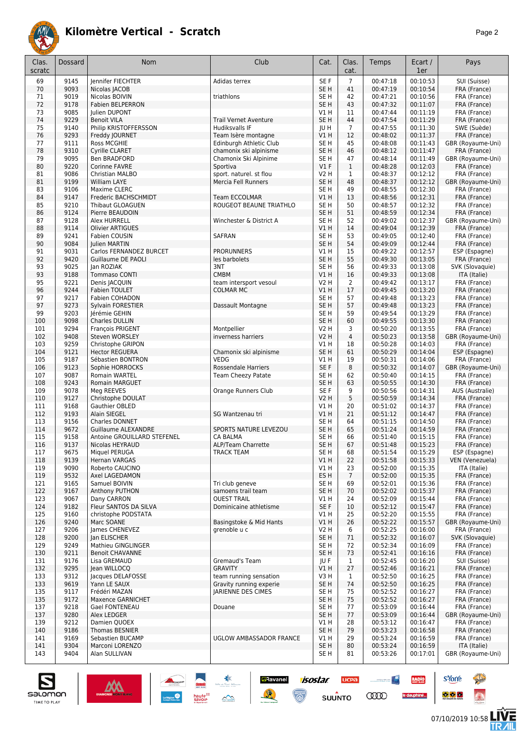

#### **Kilomètre Vertical - Scratch** *Page 2*

| Clas.<br>scratc | Dossard      | Nom                                           | Club                                            | Cat.                               | Clas.<br>cat.   | Temps                | Ecart /<br>1er       | Pays                              |
|-----------------|--------------|-----------------------------------------------|-------------------------------------------------|------------------------------------|-----------------|----------------------|----------------------|-----------------------------------|
| 69              | 9145         | Jennifer FIECHTER                             | Adidas terrex                                   | SE F                               | $\overline{7}$  | 00:47:18             | 00:10:53             | SUI (Suisse)                      |
| 70              | 9093         | Nicolas JACOB                                 |                                                 | SE <sub>H</sub>                    | 41              | 00:47:19             | 00:10:54             | FRA (France)                      |
| 71              | 9019         | Nicolas BOIVIN                                | triathlons                                      | SE <sub>H</sub>                    | 42              | 00:47:21             | 00:10:56             | FRA (France)                      |
| 72              | 9178         | <b>Fabien BELPERRON</b>                       |                                                 | SE <sub>H</sub>                    | 43              | 00:47:32             | 00:11:07             | FRA (France)                      |
| 73              | 9085         | Julien DUPONT                                 |                                                 | V1 H                               | 11              | 00:47:44             | 00:11:19             | FRA (France)                      |
| 74              | 9229         | <b>Benoit VILA</b>                            | <b>Trail Vernet Aventure</b>                    | SE <sub>H</sub>                    | 44              | 00:47:54             | 00:11:29             | FRA (France)                      |
| 75              | 9140         | Philip KRISTOFFERSSON                         | Hudiksvalls IF                                  | JU H                               | $\overline{7}$  | 00:47:55             | 00:11:30             | SWE (Suède)                       |
| 76              | 9293         | Freddy JOURNET                                | Team Isère montagne                             | $VI$ H                             | 12              | 00:48:02             | 00:11:37             | FRA (France)                      |
| 77              | 9111         | <b>Ross MCGHIE</b>                            | Edinburgh Athletic Club                         | SE <sub>H</sub>                    | 45              | 00:48:08             | 00:11:43             | GBR (Royaume-Uni)                 |
| 78<br>79        | 9310<br>9095 | <b>Cyrille CLARET</b><br><b>Ben BRADFORD</b>  | chamonix ski alpinisme<br>Chamonix Ski Alpinime | SE <sub>H</sub><br>SE <sub>H</sub> | 46<br>47        | 00:48:12             | 00:11:47             | FRA (France)                      |
| 80              | 9220         | Corinne FAVRE                                 | Sportiva                                        | V1F                                | $\mathbf{1}$    | 00:48:14<br>00:48:28 | 00:11:49<br>00:12:03 | GBR (Royaume-Uni)<br>FRA (France) |
| 81              | 9086         | Christian MALBO                               | sport. naturel. st flou                         | V2 H                               | 1               | 00:48:37             | 00:12:12             | FRA (France)                      |
| 81              | 9199         | William LAYE                                  | Mercia Fell Runners                             | SE <sub>H</sub>                    | 48              | 00:48:37             | 00:12:12             | GBR (Royaume-Uni)                 |
| 83              | 9106         | Maxime CLERC                                  |                                                 | SE <sub>H</sub>                    | 49              | 00:48:55             | 00:12:30             | FRA (France)                      |
| 84              | 9147         | Frederic BACHSCHMIDT                          | <b>Team ECCOLMAR</b>                            | V1H                                | 13              | 00:48:56             | 00:12:31             | FRA (France)                      |
| 85              | 9210         | Thibaut GLOAGUEN                              | ROUGEOT BEAUNE TRIATHLO                         | SE <sub>H</sub>                    | 50              | 00:48:57             | 00:12:32             | FRA (France)                      |
| 86              | 9124         | Pierre BEAUDOIN                               |                                                 | SE <sub>H</sub>                    | 51              | 00:48:59             | 00:12:34             | FRA (France)                      |
| 87              | 9128         | Alex HURRELL                                  | Winchester & District A                         | SE <sub>H</sub>                    | 52              | 00:49:02             | 00:12:37             | GBR (Royaume-Uni)                 |
| 88              | 9114         | <b>Olivier ARTIGUES</b>                       |                                                 | $VI$ H                             | 14              | 00:49:04             | 00:12:39             | FRA (France)                      |
| 89              | 9241         | Fabien COUSIN                                 | SAFRAN                                          | SE H                               | 53              | 00:49:05             | 00:12:40             | FRA (France)                      |
| 90              | 9084         | Julien MARTIN                                 |                                                 | SE <sub>H</sub>                    | 54              | 00:49:09             | 00:12:44             | FRA (France)                      |
| 91              | 9031         | Carlos FERNANDEZ BURCET                       | <b>PRORUNNERS</b>                               | V1 H                               | 15              | 00:49:22             | 00:12:57             | ESP (Espagne)                     |
| 92<br>93        | 9420<br>9025 | Guillaume DE PAOLI                            | les barbolets<br>3NT                            | SE <sub>H</sub><br>SE <sub>H</sub> | 55<br>56        | 00:49:30<br>00:49:33 | 00:13:05<br>00:13:08 | FRA (France)                      |
| 93              | 9188         | Jan ROZIAK<br><b>Tommaso CONTI</b>            | <b>CMBM</b>                                     | $VI$ H                             | 16              | 00:49:33             | 00:13:08             | SVK (Slovaquie)<br>ITA (Italie)   |
| 95              | 9221         | Denis JACQUIN                                 | team intersport vesoul                          | V2 H                               | 2               | 00:49:42             | 00:13:17             | FRA (France)                      |
| 96              | 9244         | <b>Fabien TOULET</b>                          | <b>COLMAR MC</b>                                | V1H                                | 17              | 00:49:45             | 00:13:20             | FRA (France)                      |
| 97              | 9217         | <b>Fabien COHADON</b>                         |                                                 | SE <sub>H</sub>                    | 57              | 00:49:48             | 00:13:23             | FRA (France)                      |
| 97              | 9273         | Sylvain FORESTIER                             | Dassault Montagne                               | SE <sub>H</sub>                    | 57              | 00:49:48             | 00:13:23             | FRA (France)                      |
| 99              | 9203         | Jérémie GEHIN                                 |                                                 | SE <sub>H</sub>                    | 59              | 00:49:54             | 00:13:29             | FRA (France)                      |
| 100             | 9098         | Charles DULLIN                                |                                                 | SE <sub>H</sub>                    | 60              | 00:49:55             | 00:13:30             | FRA (France)                      |
| 101             | 9294         | François PRIGENT                              | Montpellier                                     | V2 H                               | 3               | 00:50:20             | 00:13:55             | FRA (France)                      |
| 102             | 9408         | Steven WORSLEY                                | inverness harriers                              | <b>V2 H</b>                        | $\overline{4}$  | 00:50:23             | 00:13:58             | GBR (Royaume-Uni)                 |
| 103             | 9259         | Christophe GRIPON                             |                                                 | V1 H                               | 18              | 00:50:28             | 00:14:03             | FRA (France)                      |
| 104             | 9121         | <b>Hector REGUERA</b>                         | Chamonix ski alpinisme                          | SE <sub>H</sub>                    | 61              | 00:50:29             | 00:14:04             | ESP (Espagne)                     |
| 105             | 9187         | Sébastien BONTRON                             | <b>VEDG</b>                                     | V1 H                               | 19              | 00:50:31             | 00:14:06             | FRA (France)                      |
| 106             | 9123         | Sophie HORROCKS                               | <b>Rossendale Harriers</b>                      | SE F                               | 8               | 00:50:32             | 00:14:07             | GBR (Royaume-Uni)                 |
| 107<br>108      | 9087<br>9243 | <b>Romain WARTEL</b><br><b>Romain MARGUET</b> | Team Cheezy Patate                              | SE <sub>H</sub><br>SE <sub>H</sub> | 62<br>63        | 00:50:40<br>00:50:55 | 00:14:15<br>00:14:30 | FRA (France)<br>FRA (France)      |
| 109             | 9078         | Meg REEVES                                    | Orange Runners Club                             | SE <sub>F</sub>                    | 9               | 00:50:56             | 00:14:31             | AUS (Australie)                   |
| 110             | 9127         | Christophe DOULAT                             |                                                 | <b>V2 H</b>                        | 5               | 00:50:59             | 00:14:34             | FRA (France)                      |
| 111             | 9168         | Gauthier OBLED                                |                                                 | V1 H                               | 20              | 00:51:02             | 00:14:37             | FRA (France)                      |
| 112             | 9193         | Alain SIEGEL                                  | SG Wantzenau tri                                | V1 H                               | 21              | 00:51:12             | 00:14:47             | FRA (France)                      |
| 113             | 9156         | Charles DONNET                                |                                                 | SE <sub>H</sub>                    | 64              | 00:51:15             | 00:14:50             | FRA (France)                      |
| 114             | 9672         | <b>Guillaume ALEXANDRE</b>                    | SPORTS NATURE LEVEZOU                           | SE <sub>H</sub>                    | 65              | 00:51:24             | 00:14:59             | FRA (France)                      |
| 115             | 9158         | Antoine GROUILLARD STEFENEL                   | <b>CA BALMA</b>                                 | SE <sub>H</sub>                    | 66              | 00:51:40             | 00:15:15             | FRA (France)                      |
| 116             | 9137         | Nicolas HEYRAUD                               | ALP/Team Charrette                              | SE <sub>H</sub>                    | 67              | 00:51:48             | 00:15:23             | FRA (France)                      |
| 117             | 9675         | Miquel PERUGA                                 | <b>TRACK TEAM</b>                               | SE <sub>H</sub>                    | 68              | 00:51:54             | 00:15:29             | ESP (Espagne)                     |
| 118             | 9139         | Hernan VARGAS                                 |                                                 | V1H                                | 22              | 00:51:58             | 00:15:33             | VEN (Venezuela)                   |
| 119             | 9090         | Roberto CAUCINO                               |                                                 | V1 H                               | 23              | 00:52:00             | 00:15:35             | ITA (Italie)                      |
| 119             | 9532         | Axel LAGEDAMON                                |                                                 | ES H                               | $7\overline{ }$ | 00:52:00             | 00:15:35<br>00:15:36 | FRA (France)                      |
| 121<br>122      | 9165<br>9167 | Samuel BOIVIN<br>Anthony PUTHON               | Tri club geneve<br>samoens trail team           | SE H<br>SE <sub>H</sub>            | 69<br>70        | 00:52:01<br>00:52:02 | 00:15:37             | FRA (France)<br>FRA (France)      |
| 123             | 9067         | Dany CARRON                                   | <b>OUEST TRAIL</b>                              | V1 H                               | 24              | 00:52:09             | 00:15:44             | FRA (France)                      |
| 124             | 9182         | Fleur SANTOS DA SILVA                         | Dominicaine athletisme                          | SE F                               | 10              | 00:52:12             | 00:15:47             | FRA (France)                      |
| 125             | 9160         | christophe PODSTATA                           |                                                 | V1 H                               | 25              | 00:52:20             | 00:15:55             | FRA (France)                      |
| 126             | 9240         | Marc SOANE                                    | Basingstoke & Mid Hants                         | VIH                                | 26              | 00:52:22             | 00:15:57             | GBR (Royaume-Uni)                 |
| 127             | 9206         | James CHENEVEZ                                | grenoble u c                                    | V2 H                               | 6               | 00:52:25             | 00:16:00             | FRA (France)                      |
| 128             | 9200         | Jan ELISCHER                                  |                                                 | SE <sub>H</sub>                    | 71              | 00:52:32             | 00:16:07             | SVK (Slovaquie)                   |
| 129             | 9249         | Mathieu GINGLINGER                            |                                                 | SE H                               | 72              | 00:52:34             | 00:16:09             | FRA (France)                      |
| 130             | 9211         | <b>Benoit CHAVANNE</b>                        |                                                 | SE <sub>H</sub>                    | 73              | 00:52:41             | 00:16:16             | FRA (France)                      |
| 131             | 9176         | Lisa GREMAUD                                  | Gremaud's Team                                  | JU F                               | 1               | 00:52:45             | 00:16:20             | SUI (Suisse)                      |
| 132             | 9295         | Jean WILLOCQ                                  | <b>GRAVITY</b>                                  | VIH                                | 27              | 00:52:46             | 00:16:21             | FRA (France)                      |
| 133             | 9312         | Jacques DELAFOSSE                             | team running sensation                          | V3H                                | 1               | 00:52:50             | 00:16:25             | FRA (France)                      |
| 133             | 9619         | Yann LE SAUX                                  | Gravity running experie                         | SE <sub>H</sub>                    | 74              | 00:52:50             | 00:16:25             | FRA (France)                      |
| 135             | 9117         | Frédéri MAZAN                                 | JARIENNE DES CIMES                              | SE <sub>H</sub>                    | 75              | 00:52:52             | 00:16:27             | FRA (France)                      |
| 135<br>137      | 9172<br>9218 | Maxence GARNICHET<br>Gael FONTENEAU           | Douane                                          | SE <sub>H</sub><br>SE <sub>H</sub> | 75<br>77        | 00:52:52<br>00:53:09 | 00:16:27<br>00:16:44 | FRA (France)<br>FRA (France)      |
| 137             | 9280         | Alex LEDGER                                   |                                                 | SE H                               | 77              | 00:53:09             | 00:16:44             | GBR (Royaume-Uni)                 |
| 139             | 9212         | Damien QUOEX                                  |                                                 | V1 H                               | 28              | 00:53:12             | 00:16:47             | FRA (France)                      |
| 140             | 9186         | Thomas BESNIER                                |                                                 | SE <sub>H</sub>                    | 79              | 00:53:23             | 00:16:58             | FRA (France)                      |
| 141             | 9169         | Sebastien BUCAMP                              | UGLOW AMBASSADOR FRANCE                         | V1 H                               | 29              | 00:53:24             | 00:16:59             | FRA (France)                      |
| 141             | 9304         | Marconi LORENZO                               |                                                 | SE H                               | 80              | 00:53:24             | 00:16:59             | ITA (Italie)                      |
| 143             | 9404         | Alan SULLIVAN                                 |                                                 | SE <sub>H</sub>                    | 81              | 00:53:26             | 00:17:01             | GBR (Royaume-Uni)                 |

 $\bigstar$ 

 $\triangle$ 

**Angel** 

... **.** 

haute<sup>::</sup><br>savoie

isostar.

 $\overline{\odot}$ 

 $ucpa$ 

 $s$ UUNTO

**Constitution** 

**COO** 

RADIO

le dauphiné...

**Z**Ravanel

送



 $M_{\odot}$ 



**s**Yorre

 $\bullet$   $\bullet$   $\bullet$ 

**There** 

 $\ddot{\Omega}$ 

发展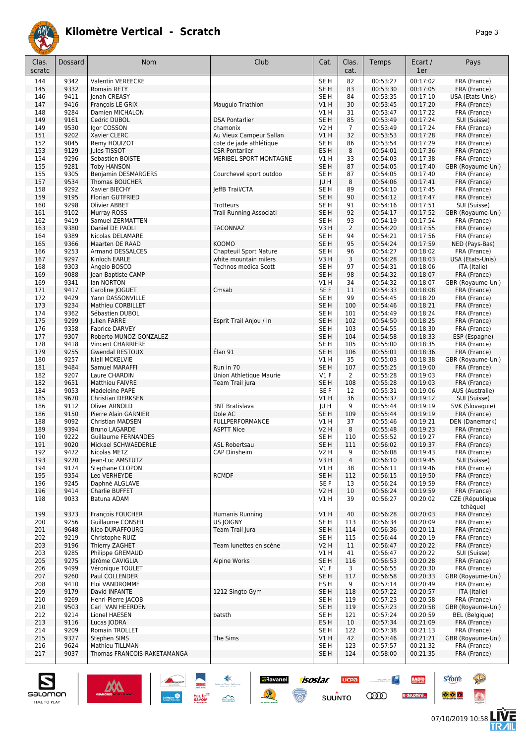

## Kilomètre Vertical - Scratch

|--|--|

| Clas.<br>scratc | Dossard      | <b>Nom</b>                                      | Club                              | Cat.                               | Clas.<br>cat.        | Temps                | Ecart /<br>1er       | Pays                              |
|-----------------|--------------|-------------------------------------------------|-----------------------------------|------------------------------------|----------------------|----------------------|----------------------|-----------------------------------|
| 144             | 9342         | Valentin VEREECKE                               |                                   | SE <sub>H</sub>                    | 82                   | 00:53:27             | 00:17:02             | FRA (France)                      |
| 145             | 9332         | Romain RETY                                     |                                   | SE <sub>H</sub>                    | 83                   | 00:53:30             | 00:17:05             | FRA (France)                      |
| 146             | 9411         | Jonah CREASY                                    |                                   | SE <sub>H</sub>                    | 84                   | 00:53:35             | 00:17:10             | USA (Etats-Unis)                  |
| 147<br>148      | 9416<br>9284 | François LE GRIX<br>Damien MICHALON             | Mauguio Triathlon                 | V1H<br>V1 H                        | 30<br>31             | 00:53:45<br>00:53:47 | 00:17:20<br>00:17:22 | FRA (France)<br>FRA (France)      |
| 149             | 9161         | Cedric DUBOL                                    | <b>DSA Pontarlier</b>             | SE <sub>H</sub>                    | 85                   | 00:53:49             | 00:17:24             | SUI (Suisse)                      |
| 149             | 9530         | Igor COSSON                                     | chamonix                          | <b>V2 H</b>                        | $\overline{7}$       | 00:53:49             | 00:17:24             | FRA (France)                      |
| 151             | 9202         | Xavier CLERC                                    | Au Vieux Campeur Sallan           | V1H                                | 32                   | 00:53:53             | 00:17:28             | FRA (France)                      |
| 152             | 9045         | Remy HOUIZOT                                    | cote de jade athlétique           | SE <sub>H</sub>                    | 86                   | 00:53:54             | 00:17:29             | FRA (France)                      |
| 153             | 9129         | Jules TISSOT                                    | <b>CSR Pontarlier</b>             | ES <sub>H</sub>                    | 8                    | 00:54:01             | 00:17:36             | FRA (France)                      |
| 154<br>155      | 9296<br>9281 | Sebastien BOISTE<br><b>Toby HANSON</b>          | MERIBEL SPORT MONTAGNE            | V1 H<br>SE <sub>H</sub>            | 33<br>87             | 00:54:03<br>00:54:05 | 00:17:38<br>00:17:40 | FRA (France)<br>GBR (Royaume-Uni) |
| 155             | 9305         | Benjamin DESMARGERS                             | Courchevel sport outdoo           | SE <sub>H</sub>                    | 87                   | 00:54:05             | 00:17:40             | FRA (France)                      |
| 157             | 9534         | <b>Thomas BOUCHER</b>                           |                                   | JU H                               | 8                    | 00:54:06             | 00:17:41             | FRA (France)                      |
| 158             | 9292         | Xavier BIECHY                                   | JeffB Trail/CTA                   | SE <sub>H</sub>                    | 89                   | 00:54:10             | 00:17:45             | FRA (France)                      |
| 159             | 9195         | Florian GUTFRIED                                |                                   | SE <sub>H</sub>                    | 90                   | 00:54:12             | 00:17:47             | FRA (France)                      |
| 160             | 9298         | Olivier ABBET                                   | Trotteurs                         | SE <sub>H</sub>                    | 91                   | 00:54:16             | 00:17:51             | SUI (Suisse)                      |
| 161             | 9102         | Murray ROSS                                     | <b>Trail Running Associati</b>    | SE <sub>H</sub>                    | 92                   | 00:54:17             | 00:17:52             | GBR (Royaume-Uni)                 |
| 162<br>163      | 9419<br>9380 | Samuel ZERMATTEN<br>Daniel DE PAOLI             | <b>TACONNAZ</b>                   | SE <sub>H</sub><br>V3H             | 93<br>$\overline{2}$ | 00:54:19<br>00:54:20 | 00:17:54<br>00:17:55 | FRA (France)<br>FRA (France)      |
| 164             | 9389         | Nicolas DELAMARE                                |                                   | SE <sub>H</sub>                    | 94                   | 00:54:21             | 00:17:56             | FRA (France)                      |
| 165             | 9366         | Maarten DE RAAD                                 | <b>KOOMO</b>                      | SE <sub>H</sub>                    | 95                   | 00:54:24             | 00:17:59             | NED (Pays-Bas)                    |
| 166             | 9253         | Armand DESSALCES                                | Chapteuil Sport Nature            | SE H                               | 96                   | 00:54:27             | 00:18:02             | FRA (France)                      |
| 167             | 9297         | Kinloch EARLE                                   | white mountain milers             | V3H                                | 3                    | 00:54:28             | 00:18:03             | USA (Etats-Unis)                  |
| 168             | 9303         | Angelo BOSCO                                    | <b>Technos medica Scott</b>       | SE <sub>H</sub>                    | 97                   | 00:54:31             | 00:18:06             | ITA (Italie)                      |
| 169             | 9088         | Jean Baptiste CAMP                              |                                   | SE <sub>H</sub>                    | 98                   | 00:54:32             | 00:18:07             | FRA (France)                      |
| 169             | 9341         | lan NORTON                                      |                                   | V1 H                               | 34                   | 00:54:32             | 00:18:07             | GBR (Royaume-Uni)<br>FRA (France) |
| 171<br>172      | 9417<br>9429 | Caroline JOGUET<br>Yann DASSONVILLE             | Cmsab                             | SE F<br>SE <sub>H</sub>            | 11<br>99             | 00:54:33<br>00:54:45 | 00:18:08<br>00:18:20 | FRA (France)                      |
| 173             | 9234         | <b>Mathieu CORBILLET</b>                        |                                   | SE <sub>H</sub>                    | 100                  | 00:54:46             | 00:18:21             | FRA (France)                      |
| 174             | 9362         | Sébastien DUBOL                                 |                                   | SE <sub>H</sub>                    | 101                  | 00:54:49             | 00:18:24             | FRA (France)                      |
| 175             | 9299         | Julien FARRE                                    | Esprit Trail Anjou / In           | SE <sub>H</sub>                    | 102                  | 00:54:50             | 00:18:25             | FRA (France)                      |
| 176             | 9358         | <b>Fabrice DARVEY</b>                           |                                   | SE <sub>H</sub>                    | 103                  | 00:54:55             | 00:18:30             | FRA (France)                      |
| 177             | 9307         | Roberto MUNOZ GONZALEZ                          |                                   | SE <sub>H</sub>                    | 104                  | 00:54:58             | 00:18:33             | ESP (Espagne)                     |
| 178             | 9418         | <b>Vincent CHARRIERE</b>                        |                                   | SE H                               | 105                  | 00:55:00             | 00:18:35             | FRA (France)                      |
| 179<br>180      | 9255<br>9257 | <b>Gwendal RESTOUX</b><br>Niall MCKELVIE        | Élan 91                           | SE <sub>H</sub><br>V1 H            | 106<br>35            | 00:55:01<br>00:55:03 | 00:18:36<br>00:18:38 | FRA (France)<br>GBR (Royaume-Uni) |
| 181             | 9484         | Samuel MARAFFI                                  | Run in 70                         | SE <sub>H</sub>                    | 107                  | 00:55:25             | 00:19:00             | FRA (France)                      |
| 182             | 9207         | Laure CHARDIN                                   | Union Athletique Maurie           | $VI$ F                             | 2                    | 00:55:28             | 00:19:03             | FRA (France)                      |
| 182             | 9651         | <b>Matthieu FAIVRE</b>                          | Team Trail jura                   | SE <sub>H</sub>                    | 108                  | 00:55:28             | 00:19:03             | FRA (France)                      |
| 184             | 9053         | Madeleine PAPE                                  |                                   | SE <sub>F</sub>                    | 12                   | 00:55:31             | 00:19:06             | AUS (Australie)                   |
| 185             | 9670         | Christian DERKSEN                               |                                   | V1H                                | 36                   | 00:55:37             | 00:19:12             | SUI (Suisse)                      |
| 186             | 9112         | Oliver ARNOLD                                   | <b>3NT Bratislava</b>             | <b>JUH</b>                         | 9                    | 00:55:44             | 00:19:19             | SVK (Slovaquie)                   |
| 186<br>188      | 9150<br>9092 | Pierre Alain GARNIER<br><b>Christian MADSEN</b> | Dole AC<br><b>FULLPERFORMANCE</b> | SE <sub>H</sub><br>V1H             | 109<br>37            | 00:55:44<br>00:55:46 | 00:19:19<br>00:19:21 | FRA (France)<br>DEN (Danemark)    |
| 189             | 9394         | <b>Bruno LAGARDE</b>                            | <b>ASPTT Nice</b>                 | V2H                                | 8                    | 00:55:48             | 00:19:23             | FRA (France)                      |
| 190             | 9222         | <b>Guillaume FERNANDES</b>                      |                                   | SE H                               | 110                  | 00:55:52             | 00:19:27             | FRA (France)                      |
| 191             | 9020         | Mickael SCHWAEDERLE                             | <b>ASL Robertsau</b>              | SE <sub>H</sub>                    | 111                  | 00:56:02             | 00:19:37             | FRA (France)                      |
| 192             | 9472         | Nicolas METZ                                    | <b>CAP Dinsheim</b>               | V2 H                               | 9                    | 00:56:08             | 00:19:43             | FRA (France)                      |
| 193             | 9270         | Jean-Luc AMSTUTZ                                |                                   | V3H                                | $\overline{4}$       | 00:56:10             | 00:19:45             | SUI (Suisse)                      |
| 194<br>195      | 9174<br>9354 | Stephane CLOPON                                 | <b>RCMDF</b>                      | V1H<br>SE <sub>H</sub>             | 38                   | 00:56:11<br>00:56:15 | 00:19:46<br>00:19:50 | FRA (France)<br>FRA (France)      |
| 196             | 9245         | Leo VERHEYDE<br>Daphné ALGLAVE                  |                                   | SE F                               | 112<br>13            | 00:56:24             | 00:19:59             | FRA (France)                      |
| 196             | 9414         | Charlie BUFFET                                  |                                   | <b>V2 H</b>                        | 10                   | 00:56:24             | 00:19:59             | FRA (France)                      |
| 198             | 9033         | Batuna ADAM                                     |                                   | V1H                                | 39                   | 00:56:27             | 00:20:02             | CZE (République                   |
|                 |              |                                                 |                                   |                                    |                      |                      |                      | tchèque)                          |
| 199             | 9373         | François FOUCHER                                | Humanis Running                   | V1H                                | 40                   | 00:56:28             | 00:20:03             | FRA (France)                      |
| 200             | 9256         | <b>Guillaume CONSEIL</b>                        | US IOIGNY                         | SE H                               | 113                  | 00:56:34             | 00:20:09             | FRA (France)                      |
| 201             | 9648         | Nico DURAFFOURG                                 | Team Trail Jura                   | SE H                               | 114                  | 00:56:36             | 00:20:11             | FRA (France)<br>FRA (France)      |
| 202<br>203      | 9219<br>9196 | Christophe RUIZ<br>Thierry ZAGHET               | Team lunettes en scène            | SE H<br>V2H                        | 115<br>11            | 00:56:44<br>00:56:47 | 00:20:19<br>00:20:22 | FRA (France)                      |
| 203             | 9285         | Philippe GREMAUD                                |                                   | V1H                                | 41                   | 00:56:47             | 00:20:22             | SUI (Suisse)                      |
| 205             | 9275         | Jérôme CAVIGLIA                                 | Alpine Works                      | SE <sub>H</sub>                    | 116                  | 00:56:53             | 00:20:28             | FRA (France)                      |
| 206             | 9499         | Véronique TOULET                                |                                   | $VI$ F                             | 3                    | 00:56:55             | 00:20:30             | FRA (France)                      |
| 207             | 9260         | Paul COLLENDER                                  |                                   | SE <sub>H</sub>                    | 117                  | 00:56:58             | 00:20:33             | GBR (Royaume-Uni)                 |
| 208             | 9410         | Eloi VANDROMME                                  |                                   | ES H                               | 9                    | 00:57:14             | 00:20:49             | FRA (France)                      |
| 209             | 9179         | David INFANTE                                   | 1212 Singto Gym                   | SE <sub>H</sub>                    | 118                  | 00:57:22             | 00:20:57             | ITA (Italie)                      |
| 210<br>210      | 9269<br>9503 | Henri-Pierre JACOB<br>Carl VAN HEERDEN          |                                   | SE <sub>H</sub><br>SE <sub>H</sub> | 119<br>119           | 00:57:23<br>00:57:23 | 00:20:58<br>00:20:58 | FRA (France)<br>GBR (Royaume-Uni) |
| 212             | 9214         | Lionel HAESEN                                   | batsth                            | SE <sub>H</sub>                    | 121                  | 00:57:24             | 00:20:59             | <b>BEL</b> (Belgique)             |
| 213             | 9116         | Lucas JODRA                                     |                                   | ES H                               | 10                   | 00:57:34             | 00:21:09             | FRA (France)                      |
| 214             | 9209         | Romain TROLLET                                  |                                   | SE H                               | 122                  | 00:57:38             | 00:21:13             | FRA (France)                      |
| 215             | 9327         | Stephen SIMS                                    | The Sims                          | V1H                                | 42                   | 00:57:46             | 00:21:21             | GBR (Royaume-Uni)                 |
| 216             | 9624         | Mathieu TILLMAN                                 |                                   | SE H                               | 123                  | 00:57:57             | 00:21:32             | FRA (France)                      |
| 217             | 9037         | Thomas FRANCOIS-RAKETAMANGA                     |                                   | SE H                               | 124                  | 00:58:00             | 00:21:35             | FRA (France)                      |
|                 |              |                                                 |                                   |                                    |                      |                      |                      |                                   |

**Example 2 Container and Container Container and Container and Container and Container and Container and Container and Container and Container and Container and Container and Container and Container and Container and Con** 



**s**Yorre

 $\bullet$   $\bullet$   $\bullet$ 

RADIO

le dauphiné...

**PARTIES** 

 $\ddot{\Omega}$ 

/卡<br>/ll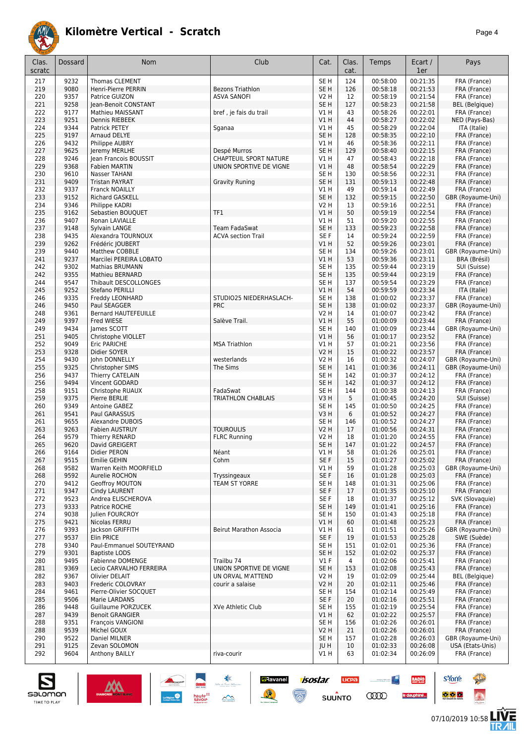

# **Kilomètre Vertical - Scratch** *Page 4*

| Clas.      | Dossard      | <b>Nom</b>                                | Club                                  | Cat.                    | Clas.     | Temps                | Ecart /              | Pays                                  |
|------------|--------------|-------------------------------------------|---------------------------------------|-------------------------|-----------|----------------------|----------------------|---------------------------------------|
| scratc     |              |                                           |                                       |                         | cat.      |                      | 1er                  |                                       |
| 217        | 9232         | <b>Thomas CLEMENT</b>                     |                                       | SE <sub>H</sub>         | 124       | 00:58:00             | 00:21:35             | FRA (France)                          |
| 219        | 9080         | Henri-Pierre PERRIN                       | <b>Bezons Triathlon</b>               | SE H                    | 126       | 00:58:18             | 00:21:53             | FRA (France)                          |
| 220        | 9357<br>9258 | Patrice GUIZON                            | <b>ASVA SANOFI</b>                    | V2 H<br>SE <sub>H</sub> | 12<br>127 | 00:58:19<br>00:58:23 | 00:21:54             | FRA (France)                          |
| 221<br>222 | 9177         | Jean-Benoit CONSTANT<br>Mathieu MAISSANT  | bref, je fais du trail                | V1H                     | 43        | 00:58:26             | 00:21:58<br>00:22:01 | <b>BEL</b> (Belgique)<br>FRA (France) |
| 223        | 9251         | Dennis RIEBEEK                            |                                       | VIH                     | 44        | 00:58:27             | 00:22:02             | NED (Pays-Bas)                        |
| 224        | 9344         | Patrick PETEY                             | Sganaa                                | V1 H                    | 45        | 00:58:29             | 00:22:04             | ITA (Italie)                          |
| 225        | 9197         | Arnaud DELYE                              |                                       | SE <sub>H</sub>         | 128       | 00:58:35             | 00:22:10             | FRA (France)                          |
| 226        | 9432         | Philippe AUBRY                            |                                       | V1 H                    | 46        | 00:58:36             | 00:22:11             | FRA (France)                          |
| 227        | 9625         | Jeremy MERLHE                             | Despé Murros                          | SE <sub>H</sub>         | 129       | 00:58:40             | 00:22:15             | FRA (France)                          |
| 228        | 9246         | Jean Francois BOUSSIT                     | <b>CHAPTEUIL SPORT NATURE</b>         | V1 H                    | 47        | 00:58:43             | 00:22:18             | FRA (France)                          |
| 229        | 9368         | <b>Fabien MARTIN</b>                      | UNION SPORTIVE DE VIGNE               | V1 H                    | 48        | 00:58:54             | 00:22:29             | FRA (France)                          |
| 230        | 9610         | Nasser TAHANI                             |                                       | SE H                    | 130       | 00:58:56             | 00:22:31             | FRA (France)                          |
| 231<br>232 | 9409<br>9337 | <b>Tristan PAYRAT</b><br>Franck NOAILLY   | <b>Gravity Runing</b>                 | SE H<br>V1 H            | 131<br>49 | 00:59:13<br>00:59:14 | 00:22:48<br>00:22:49 | FRA (France)<br>FRA (France)          |
| 233        | 9152         | Richard GASKELL                           |                                       | SE <sub>H</sub>         | 132       | 00:59:15             | 00:22:50             | GBR (Royaume-Uni)                     |
| 234        | 9346         | Philippe KADRI                            |                                       | V2 H                    | 13        | 00:59:16             | 00:22:51             | FRA (France)                          |
| 235        | 9162         | Sebastien BOUQUET                         | TF1                                   | V1 H                    | 50        | 00:59:19             | 00:22:54             | FRA (France)                          |
| 236        | 9407         | Ronan LAVIALLE                            |                                       | V1 H                    | 51        | 00:59:20             | 00:22:55             | FRA (France)                          |
| 237        | 9148         | Sylvain LANGE                             | <b>Team FadaSwat</b>                  | SE <sub>H</sub>         | 133       | 00:59:23             | 00:22:58             | FRA (France)                          |
| 238        | 9435         | Alexandra TOURNOUX                        | <b>ACVA section Trail</b>             | SE F                    | 14        | 00:59:24             | 00:22:59             | FRA (France)                          |
| 239        | 9262         | Frédéric JOUBERT                          |                                       | VIH                     | 52        | 00:59:26             | 00:23:01             | FRA (France)                          |
| 239        | 9440         | Matthew COBBLE<br>Marcilei PEREIRA LOBATO |                                       | SE <sub>H</sub>         | 134       | 00:59:26             | 00:23:01             | GBR (Royaume-Uni)                     |
| 241<br>242 | 9237<br>9302 | <b>Mathias BRUMANN</b>                    |                                       | V1 H<br>SE H            | 53<br>135 | 00:59:36<br>00:59:44 | 00:23:11<br>00:23:19 | BRA (Brésil)                          |
| 242        | 9355         | Mathieu BERNARD                           |                                       | SE H                    | 135       | 00:59:44             | 00:23:19             | SUI (Suisse)<br>FRA (France)          |
| 244        | 9547         | Thibault DESCOLLONGES                     |                                       | SE H                    | 137       | 00:59:54             | 00:23:29             | FRA (France)                          |
| 245        | 9252         | Stefano PERILLI                           |                                       | VIH                     | 54        | 00:59:59             | 00:23:34             | ITA (Italie)                          |
| 246        | 9335         | Freddy LEONHARD                           | STUDIO25 NIEDERHASLACH-               | SE H                    | 138       | 01:00:02             | 00:23:37             | FRA (France)                          |
| 246        | 9450         | Paul SEAGGER                              | PRC                                   | SE <sub>H</sub>         | 138       | 01:00:02             | 00:23:37             | GBR (Royaume-Uni)                     |
| 248        | 9361         | <b>Bernard HAUTEFEUILLE</b>               |                                       | <b>V2 H</b>             | 14        | 01:00:07             | 00:23:42             | FRA (France)                          |
| 249        | 9397         | Fred WIESE                                | Salève Trail.                         | V1 H                    | 55        | 01:00:09             | 00:23:44             | FRA (France)                          |
| 249        | 9434         | James SCOTT                               |                                       | SE H                    | 140       | 01:00:09             | 00:23:44             | GBR (Royaume-Uni)                     |
| 251        | 9405         | Christophe VIOLLET                        |                                       | V1 H                    | 56        | 01:00:17             | 00:23:52             | FRA (France)                          |
| 252<br>253 | 9049<br>9328 | Eric PARICHE<br>Didier SOYER              | <b>MSA Triathlon</b>                  | V1 H<br>V2 H            | 57<br>15  | 01:00:21<br>01:00:22 | 00:23:56<br>00:23:57 | FRA (France)<br>FRA (France)          |
| 254        | 9430         | John DONNELLY                             | westerlands                           | V2 H                    | 16        | 01:00:32             | 00:24:07             | GBR (Royaume-Uni)                     |
| 255        | 9325         | Christopher SIMS                          | The Sims                              | SE H                    | 141       | 01:00:36             | 00:24:11             | GBR (Royaume-Uni)                     |
| 256        | 9437         | Thierry CATELAIN                          |                                       | SE H                    | 142       | 01:00:37             | 00:24:12             | FRA (France)                          |
| 256        | 9494         | Vincent GODARD                            |                                       | SE H                    | 142       | 01:00:37             | 00:24:12             | FRA (France)                          |
| 258        | 9151         | Christophe RUAUX                          | FadaSwat                              | SE H                    | 144       | 01:00:38             | 00:24:13             | FRA (France)                          |
| 259        | 9375         | Pierre BERLIE                             | <b>TRIATHLON CHABLAIS</b>             | V3H                     | 5         | 01:00:45             | 00:24:20             | SUI (Suisse)                          |
| 260        | 9349         | Antoine GABEZ                             |                                       | SE H                    | 145       | 01:00:50             | 00:24:25             | FRA (France)                          |
| 261<br>261 | 9541<br>9655 | Paul GARASSUS<br><b>Alexandre DUBOIS</b>  |                                       | V3H<br>SE H             | 6<br>146  | 01:00:52<br>01:00:52 | 00:24:27<br>00:24:27 | FRA (France)<br>FRA (France)          |
| 263        | 9263         | <b>Fabien AUSTRUY</b>                     | <b>TOUROULIS</b>                      | V2 H                    | 17        | 01:00:56             | 00:24:31             | FRA (France)                          |
| 264        | 9579         | Thierry RENARD                            | <b>FLRC Running</b>                   | V2 H                    | 18        | 01:01:20             | 00:24:55             | FRA (France)                          |
| 265        | 9620         | David GREIGERT                            |                                       | SE <sub>H</sub>         | 147       | 01:01:22             | 00:24:57             | FRA (France)                          |
| 266        | 9164         | Didier PERON                              | Néant                                 | V1 H                    | 58        | 01:01:26             | 00:25:01             | FRA (France)                          |
| 267        | 9515         | Emilie GEHIN                              | Cohm                                  | SE F                    | 15        | 01:01:27             | 00:25:02             | FRA (France)                          |
| 268        | 9582         | Warren Keith MOORFIELD                    |                                       | V1 H                    | 59        | 01:01:28             | 00:25:03             | GBR (Royaume-Uni)                     |
| 268        | 9592         | Aurelie ROCHON                            | Tryssingeaux                          | SE F                    | 16        | 01:01:28             | 00:25:03             | FRA (France)                          |
| 270        | 9412         | Geoffroy MOUTON                           | <b>TEAM ST YORRE</b>                  | SE H                    | 148       | 01:01:31             | 00:25:06             | FRA (France)                          |
| 271<br>272 | 9347<br>9523 | Cindy LAURENT<br>Andrea ELISCHEROVA       |                                       | SE F<br>SE F            | 17<br>18  | 01:01:35<br>01:01:37 | 00:25:10<br>00:25:12 | FRA (France)<br>SVK (Slovaquie)       |
| 273        | 9333         | Patrice ROCHE                             |                                       | SE <sub>H</sub>         | 149       | 01:01:41             | 00:25:16             | FRA (France)                          |
| 274        | 9038         | Julien FOURCROY                           |                                       | SE H                    | 150       | 01:01:43             | 00:25:18             | FRA (France)                          |
| 275        | 9421         | Nicolas FERRU                             |                                       | VIH                     | 60        | 01:01:48             | 00:25:23             | FRA (France)                          |
| 276        | 9393         | Jackson GRIFFITH                          | <b>Beirut Marathon Associa</b>        | V1 H                    | 61        | 01:01:51             | 00:25:26             | GBR (Royaume-Uni)                     |
| 277        | 9537         | Elin PRICE                                |                                       | SE F                    | 19        | 01:01:53             | 00:25:28             | SWE (Suède)                           |
| 278        | 9340         | Paul-Emmanuel SOUTEYRAND                  |                                       | SE H                    | 151       | 01:02:01             | 00:25:36             | FRA (France)                          |
| 279        | 9301         | <b>Baptiste LODS</b>                      |                                       | SE H                    | 152       | 01:02:02             | 00:25:37             | FRA (France)                          |
| 280        | 9495<br>9369 | <b>Fabienne DOMENGE</b>                   | Trailbu 74<br>UNION SPORTIVE DE VIGNE | V1 F                    | 4         | 01:02:06             | 00:25:41             | FRA (France)                          |
| 281<br>282 | 9367         | Lecio CARVALHO FERREIRA<br>Olivier DELAIT | UN ORVAL M'ATTEND                     | SE H<br>V2 H            | 153<br>19 | 01:02:08<br>01:02:09 | 00:25:43<br>00:25:44 | FRA (France)<br><b>BEL</b> (Belgique) |
| 283        | 9403         | Frederic COLOVRAY                         | courir a salaise                      | <b>V2 H</b>             | 20        | 01:02:11             | 00:25:46             | FRA (France)                          |
| 284        | 9461         | Pierre-Olivier SOCQUET                    |                                       | SE H                    | 154       | 01:02:14             | 00:25:49             | FRA (France)                          |
| 285        | 9506         | Marie LARDANS                             |                                       | SE F                    | 20        | 01:02:16             | 00:25:51             | FRA (France)                          |
| 286        | 9448         | <b>Guillaume PORZUCEK</b>                 | XVe Athletic Club                     | SE H                    | 155       | 01:02:19             | 00:25:54             | FRA (France)                          |
| 287        | 9439         | <b>Benoit GRANGIER</b>                    |                                       | V1H                     | 62        | 01:02:22             | 00:25:57             | FRA (France)                          |
| 288        | 9351         | François VANGIONI                         |                                       | SE <sub>H</sub>         | 156       | 01:02:26             | 00:26:01             | FRA (France)                          |
| 288        | 9539         | Michel GOUX                               |                                       | <b>V2 H</b>             | 21        | 01:02:26             | 00:26:01             | FRA (France)                          |
| 290        | 9522         | Daniel MILNER<br>Zevan SOLOMON            |                                       | SE H                    | 157       | 01:02:28             | 00:26:03             | GBR (Royaume-Uni)<br>USA (Etats-Unis) |
| 291<br>292 | 9125<br>9604 | Anthony BAILLY                            | riva-courir                           | JU H<br>V1 H            | 10<br>63  | 01:02:33<br>01:02:34 | 00:26:08<br>00:26:09 | FRA (France)                          |
|            |              |                                           |                                       |                         |           |                      |                      |                                       |

**DRavanel** 7505tar

 $\odot$ 

 $\mathbb{R}$ 

**UCPA** 

 $s$ UUNTO

 $\sim$ 

**COO** 

**RADIO** 

le dauphiné...

damin<br>haute<sup>11</sup><br>savoie

 $M$ 



**s**Yorre

 $\bullet$   $\bullet$   $\bullet$ 

**Reine** 

 $\ddot{\Omega}$ 

人<br>儿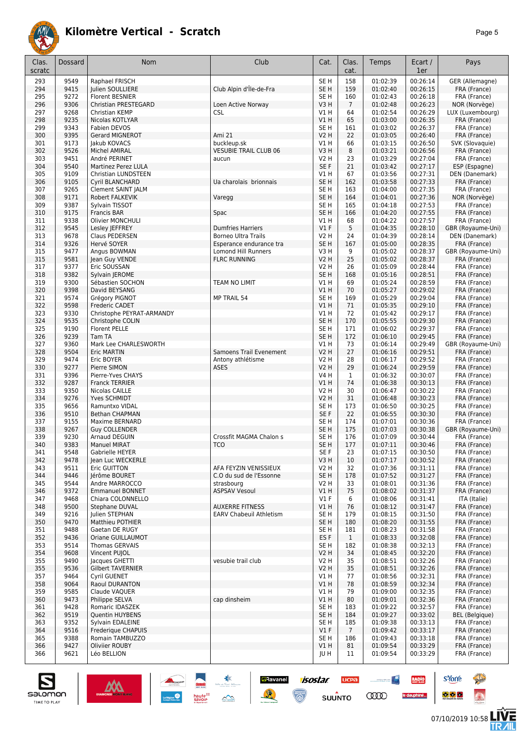

## Kilomètre Vertical - Scratch

|--|--|--|

| Clas.<br>scratc | Dossard      | Nom                                           | Club                                       | Cat.                               | Clas.<br>cat.      | Temps                | Ecart /<br>1er       | Pays                                  |
|-----------------|--------------|-----------------------------------------------|--------------------------------------------|------------------------------------|--------------------|----------------------|----------------------|---------------------------------------|
| 293             | 9549         | Raphael FRISCH                                |                                            | SE <sub>H</sub>                    | 158                | 01:02:39             | 00:26:14             | GER (Allemagne)                       |
| 294             | 9415         | Julien SOULLIERE                              | Club Alpin d'Île-de-Fra                    | SE <sub>H</sub>                    | 159                | 01:02:40             | 00:26:15             | FRA (France)                          |
| 295             | 9272         | <b>Florent BESNIER</b>                        |                                            | SE <sub>H</sub>                    | 160                | 01:02:43             | 00:26:18             | FRA (France)                          |
| 296             | 9306         | Christian PRESTEGARD                          | Loen Active Norway                         | V3H                                | $7\overline{ }$    | 01:02:48             | 00:26:23             | NOR (Norvège)                         |
| 297<br>298      | 9268<br>9235 | Christian KEMP                                | <b>CSL</b>                                 | <b>V1 H</b><br>V1H                 | 64<br>65           | 01:02:54<br>01:03:00 | 00:26:29<br>00:26:35 | LUX (Luxembourg)<br>FRA (France)      |
| 299             | 9343         | Nicolas KOTLYAR<br>Fabien DEVOS               |                                            | SE <sub>H</sub>                    | 161                | 01:03:02             | 00:26:37             | FRA (France)                          |
| 300             | 9395         | <b>Gerard MIGNEROT</b>                        | Ami 21                                     | <b>V2 H</b>                        | 22                 | 01:03:05             | 00:26:40             | FRA (France)                          |
| 301             | 9173         | Jakub KOVACS                                  | buckleup.sk                                | V1H                                | 66                 | 01:03:15             | 00:26:50             | SVK (Slovaquie)                       |
| 302             | 9526         | Michel AMIRAL                                 | <b>VESUBIE TRAIL CLUB 06</b>               | V <sub>3</sub> H                   | 8                  | 01:03:21             | 00:26:56             | FRA (France)                          |
| 303             | 9451         | André PERINET                                 | aucun                                      | V2 H                               | 23                 | 01:03:29             | 00:27:04             | FRA (France)                          |
| 304             | 9540         | Martinez Perez LULA                           |                                            | SE F                               | 21                 | 01:03:42             | 00:27:17             | ESP (Espagne)                         |
| 305             | 9109         | Christian LUNDSTEEN                           |                                            | V1H                                | 67                 | 01:03:56             | 00:27:31             | DEN (Danemark)                        |
| 306<br>307      | 9105<br>9265 | Cyril BLANCHARD<br>Clement SAINT JALM         | Ua charolais brionnais                     | SE <sub>H</sub><br>SE <sub>H</sub> | 162<br>163         | 01:03:58<br>01:04:00 | 00:27:33<br>00:27:35 | FRA (France)<br>FRA (France)          |
| 308             | 9171         | Robert FALKEVIK                               | Varegg                                     | SE <sub>H</sub>                    | 164                | 01:04:01             | 00:27:36             | NOR (Norvège)                         |
| 309             | 9387         | Sylvain TISSOT                                |                                            | SE <sub>H</sub>                    | 165                | 01:04:18             | 00:27:53             | FRA (France)                          |
| 310             | 9175         | Francis BAR                                   | Spac                                       | SE <sub>H</sub>                    | 166                | 01:04:20             | 00:27:55             | FRA (France)                          |
| 311             | 9338         | Olivier MONCHULI                              |                                            | <b>V1 H</b>                        | 68                 | 01:04:22             | 00:27:57             | FRA (France)                          |
| 312             | 9545         | Lesley JEFFREY                                | <b>Dumfries Harriers</b>                   | V1F                                | 5                  | 01:04:35             | 00:28:10             | GBR (Royaume-Uni)                     |
| 313             | 9678         | Claus PEDERSEN                                | <b>Borneo Ultra Trails</b>                 | <b>V2 H</b>                        | 24                 | 01:04:39             | 00:28:14             | DEN (Danemark)                        |
| 314             | 9326<br>9477 | Hervé SOYER<br>Angus BOWMAN                   | Esperance endurance tra                    | SE <sub>H</sub><br>V3H             | 167<br>9           | 01:05:00             | 00:28:35             | FRA (France)                          |
| 315<br>315      | 9581         | Jean Guy VENDE                                | Lomond Hill Runners<br><b>FLRC RUNNING</b> | V2 H                               | 25                 | 01:05:02<br>01:05:02 | 00:28:37<br>00:28:37 | GBR (Royaume-Uni)<br>FRA (France)     |
| 317             | 9377         | Eric SOUSSAN                                  |                                            | <b>V2 H</b>                        | 26                 | 01:05:09             | 00:28:44             | FRA (France)                          |
| 318             | 9382         | Sylvain JEROME                                |                                            | SE <sub>H</sub>                    | 168                | 01:05:16             | 00:28:51             | FRA (France)                          |
| 319             | 9300         | Sébastien SOCHON                              | TEAM NO LIMIT                              | <b>V1 H</b>                        | 69                 | 01:05:24             | 00:28:59             | FRA (France)                          |
| 320             | 9398         | David BEYSANG                                 |                                            | V1H                                | 70                 | 01:05:27             | 00:29:02             | FRA (France)                          |
| 321             | 9574         | Grégory PIGNOT                                | MP TRAIL 54                                | SE <sub>H</sub>                    | 169                | 01:05:29             | 00:29:04             | FRA (France)                          |
| 322             | 9598         | Frederic CADET                                |                                            | V1H                                | 71                 | 01:05:35             | 00:29:10             | FRA (France)                          |
| 323<br>324      | 9330<br>9535 | Christophe PEYRAT-ARMANDY<br>Christophe COLIN |                                            | V1H<br>SE <sub>H</sub>             | 72<br>170          | 01:05:42<br>01:05:55 | 00:29:17<br>00:29:30 | FRA (France)<br>FRA (France)          |
| 325             | 9190         | <b>Florent PELLE</b>                          |                                            | SE <sub>H</sub>                    | 171                | 01:06:02             | 00:29:37             | FRA (France)                          |
| 326             | 9239         | Tam TA                                        |                                            | SE <sub>H</sub>                    | 172                | 01:06:10             | 00:29:45             | FRA (France)                          |
| 327             | 9360         | Mark Lee CHARLESWORTH                         |                                            | V1 H                               | 73                 | 01:06:14             | 00:29:49             | GBR (Royaume-Uni)                     |
| 328             | 9504         | Eric MARTIN                                   | Samoens Trail Evenement                    | <b>V2 H</b>                        | 27                 | 01:06:16             | 00:29:51             | FRA (France)                          |
| 329             | 9474         | Eric BOYER                                    | Antony athlétisme                          | <b>V2 H</b>                        | 28                 | 01:06:17             | 00:29:52             | FRA (France)                          |
| 330<br>331      | 9277<br>9396 | Pierre SIMON<br>Pierre-Yves CHAYS             | <b>ASES</b>                                | <b>V2 H</b><br><b>V4 H</b>         | 29<br>$\mathbf{1}$ | 01:06:24<br>01:06:32 | 00:29:59<br>00:30:07 | FRA (France)<br>FRA (France)          |
| 332             | 9287         | <b>Franck TERRIER</b>                         |                                            | V1H                                | 74                 | 01:06:38             | 00:30:13             | FRA (France)                          |
| 333             | 9350         | Nicolas CAILLE                                |                                            | <b>V2 H</b>                        | 30                 | 01:06:47             | 00:30:22             | FRA (France)                          |
| 334             | 9276         | <b>Yves SCHMIDT</b>                           |                                            | <b>V2 H</b>                        | 31                 | 01:06:48             | 00:30:23             | FRA (France)                          |
| 335             | 9656         | Ramuntxo VIDAL                                |                                            | SE <sub>H</sub>                    | 173                | 01:06:50             | 00:30:25             | FRA (France)                          |
| 336             | 9510         | Bethan CHAPMAN                                |                                            | SE F                               | 22                 | 01:06:55             | 00:30:30             | FRA (France)                          |
| 337             | 9155         | Maxime BERNARD                                |                                            | SE H                               | 174                | 01:07:01             | 00:30:36             | FRA (France)                          |
| 338<br>339      | 9267<br>9230 | <b>Guy COLLENDER</b><br>Arnaud DEGUIN         | Crossfit MAGMA Chalon s                    | SE <sub>H</sub><br>SE H            | 175<br>176         | 01:07:03<br>01:07:09 | 00:30:38<br>00:30:44 | GBR (Royaume-Uni)<br>FRA (France)     |
| 340             | 9383         | <b>Manuel MIRAT</b>                           | <b>TCO</b>                                 | SE <sub>H</sub>                    | 177                | 01:07:11             | 00:30:46             | FRA (France)                          |
| 341             | 9548         | Gabrielle HEYER                               |                                            | SE F                               | 23                 | 01:07:15             | 00:30:50             | FRA (France)                          |
| 342             | 9478         | Jean Luc WECKERLE                             |                                            | V3H                                | 10                 | 01:07:17             | 00:30:52             | FRA (France)                          |
| 343             | 9511         | Eric GUITTON                                  | AFA FEYZIN VENISSIEUX                      | V2 H                               | 32                 | 01:07:36             | 00:31:11             | FRA (France)                          |
| 344             | 9446         | Jérôme BOURET                                 | C.O du sud de l'Essonne                    | SE H                               | 178                | 01:07:52             | 00:31:27             | FRA (France)                          |
| 345             | 9544         | Andre MARROCCO<br><b>Emmanuel BONNET</b>      | strasbourg                                 | V2 H                               | 33                 | 01:08:01             | 00:31:36             | FRA (France)                          |
| 346<br>347      | 9372<br>9468 | Chiara COLONNELLO                             | <b>ASPSAV Vesoul</b>                       | VIH<br>$VI$ F                      | 75<br>6            | 01:08:02<br>01:08:06 | 00:31:37<br>00:31:41 | FRA (France)<br>ITA (Italie)          |
| 348             | 9500         | Stephane DUVAL                                | <b>AUXERRE FITNESS</b>                     | VIH                                | 76                 | 01:08:12             | 00:31:47             | FRA (France)                          |
| 349             | 9216         | Julien STEPHAN                                | <b>EARV Chabeuil Athletism</b>             | SE <sub>H</sub>                    | 179                | 01:08:15             | 00:31:50             | FRA (France)                          |
| 350             | 9470         | <b>Matthieu POTHIER</b>                       |                                            | SE <sub>H</sub>                    | 180                | 01:08:20             | 00:31:55             | FRA (France)                          |
| 351             | 9488         | Gaetan DE RUGY                                |                                            | SE H                               | 181                | 01:08:23             | 00:31:58             | FRA (France)                          |
| 352             | 9436         | Oriane GUILLAUMOT<br><b>Thomas GERVAIS</b>    |                                            | ES <sub>F</sub>                    | $\mathbf{1}$       | 01:08:33             | 00:32:08             | FRA (France)                          |
| 353<br>354      | 9514<br>9608 | Vincent PUJOL                                 |                                            | SE H<br>V2H                        | 182<br>34          | 01:08:38<br>01:08:45 | 00:32:13<br>00:32:20 | FRA (France)<br>FRA (France)          |
| 355             | 9490         | Jacques GHETTI                                | vesubie trail club                         | V2 H                               | 35                 | 01:08:51             | 00:32:26             | FRA (France)                          |
| 355             | 9536         | <b>Gilbert TAVERNIER</b>                      |                                            | V2H                                | 35                 | 01:08:51             | 00:32:26             | FRA (France)                          |
| 357             | 9464         | Cyril GUENET                                  |                                            | V1 H                               | 77                 | 01:08:56             | 00:32:31             | FRA (France)                          |
| 358             | 9064         | Raoul DURANTON                                |                                            | V1H                                | 78                 | 01:08:59             | 00:32:34             | FRA (France)                          |
| 359             | 9585         | Claude VAQUER                                 |                                            | V1 H                               | 79                 | 01:09:00             | 00:32:35             | FRA (France)                          |
| 360             | 9473         | Philippe SELVA                                | cap dinsheim                               | V1H                                | 80                 | 01:09:01             | 00:32:36<br>00:32:57 | FRA (France)                          |
| 361<br>362      | 9428<br>9519 | Romaric IDASZEK<br>Quentin HUYBENS            |                                            | SE H<br>SE H                       | 183<br>184         | 01:09:22<br>01:09:27 | 00:33:02             | FRA (France)<br><b>BEL</b> (Belgique) |
| 363             | 9352         | Sylvain EDALEINE                              |                                            | SE H                               | 185                | 01:09:38             | 00:33:13             | FRA (France)                          |
| 364             | 9516         | Frederique CHAPUIS                            |                                            | $VI$ F                             | $\overline{7}$     | 01:09:42             | 00:33:17             | FRA (France)                          |
| 365             | 9388         | Romain TAMBUZZO                               |                                            | SE H                               | 186                | 01:09:43             | 00:33:18             | FRA (France)                          |
| 366             | 9427         | Oliviier ROUBY                                |                                            | VIH                                | 81                 | 01:09:54             | 00:33:29             | FRA (France)                          |
| 366             | 9621         | Léo BELLION                                   |                                            | JU H                               | 11                 | 01:09:54             | 00:33:29             | FRA (France)                          |
|                 |              |                                               |                                            |                                    |                    |                      |                      |                                       |

**Example 2 Container and Container Container and Container and Container and Container and Container and Container and Container and Container and Container and Container and Container and Container and Container and Con** 



**s**Yorre

 $\bullet$   $\bullet$   $\bullet$ 

RADIO

le dauphiné...

**PARTIES** 

 $\ddot{\Omega}$ 

/卡<br>/ll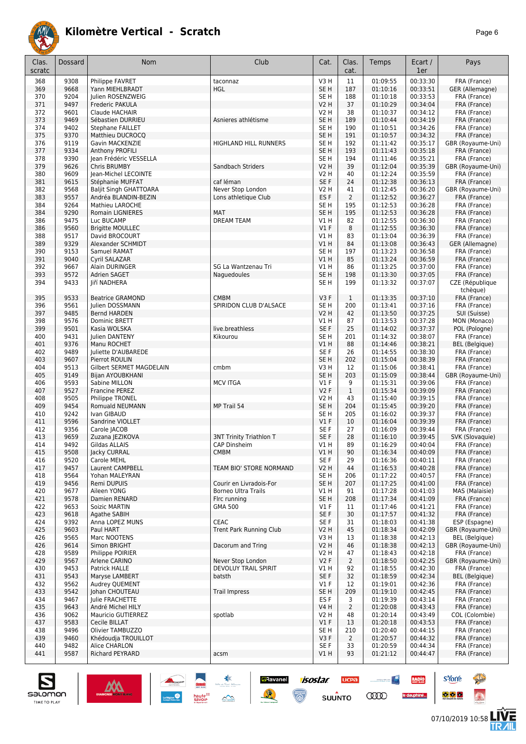

## Kilomètre Vertical - Scratch

|--|--|

| Clas.<br>scratc | Dossard      | Nom                                               | Club                                   | Cat.                           | Clas.<br>cat.        | Temps                | Ecart /<br>1er       | Pays                               |
|-----------------|--------------|---------------------------------------------------|----------------------------------------|--------------------------------|----------------------|----------------------|----------------------|------------------------------------|
| 368             | 9308         | <b>Philippe FAVRET</b>                            | taconnaz                               | V <sub>3</sub> H               | 11                   | 01:09:55             | 00:33:30             | FRA (France)                       |
| 369             | 9668         | Yann MIEHLBRADT                                   | <b>HGL</b>                             | SE <sub>H</sub>                | 187                  | 01:10:16             | 00:33:51             | GER (Allemagne)                    |
| 370             | 9204         | Julien ROSENZWEIG                                 |                                        | SE H                           | 188                  | 01:10:18             | 00:33:53             | FRA (France)                       |
| 371             | 9497         | Frederic PAKULA                                   |                                        | <b>V2 H</b>                    | 37                   | 01:10:29             | 00:34:04             | FRA (France)                       |
| 372<br>373      | 9601<br>9469 | Claude HACHAIR                                    | Asnieres athlétisme                    | <b>V2 H</b><br>SE <sub>H</sub> | 38<br>189            | 01:10:37             | 00:34:12<br>00:34:19 | FRA (France)                       |
| 374             | 9402         | Sébastien DURRIEU<br>Stephane FAILLET             |                                        | SE <sub>H</sub>                | 190                  | 01:10:44<br>01:10:51 | 00:34:26             | FRA (France)<br>FRA (France)       |
| 375             | 9370         | Matthieu DUCROCQ                                  |                                        | SE <sub>H</sub>                | 191                  | 01:10:57             | 00:34:32             | FRA (France)                       |
| 376             | 9119         | <b>Gavin MACKENZIE</b>                            | HIGHLAND HILL RUNNERS                  | SE H                           | 192                  | 01:11:42             | 00:35:17             | GBR (Royaume-Uni)                  |
| 377             | 9334         | Anthony PROFILI                                   |                                        | SE <sub>H</sub>                | 193                  | 01:11:43             | 00:35:18             | FRA (France)                       |
| 378             | 9390         | Jean Frédéric VESSELLA                            |                                        | SE <sub>H</sub>                | 194                  | 01:11:46             | 00:35:21             | FRA (France)                       |
| 379             | 9626         | <b>Chris BRUMBY</b>                               | Sandbach Striders                      | <b>V2 H</b>                    | 39                   | 01:12:04             | 00:35:39             | GBR (Royaume-Uni)                  |
| 380             | 9609         | Jean-Michel LECOINTE                              |                                        | <b>V2 H</b>                    | 40                   | 01:12:24             | 00:35:59             | FRA (France)                       |
| 381<br>382      | 9615<br>9568 | Stéphanie MUFFAT<br><b>Baljit Singh GHATTOARA</b> | caf léman<br>Never Stop London         | SE F<br>V2 H                   | 24<br>41             | 01:12:38<br>01:12:45 | 00:36:13<br>00:36:20 | FRA (France)<br>GBR (Royaume-Uni)  |
| 383             | 9557         | Andréa BLANDIN-BEZIN                              | Lons athletique Club                   | ES <sub>F</sub>                | $\overline{2}$       | 01:12:52             | 00:36:27             | FRA (France)                       |
| 384             | 9264         | Mathieu LAROCHE                                   |                                        | SE <sub>H</sub>                | 195                  | 01:12:53             | 00:36:28             | FRA (France)                       |
| 384             | 9290         | <b>Romain LIGNIERES</b>                           | <b>MAT</b>                             | SE <sub>H</sub>                | 195                  | 01:12:53             | 00:36:28             | FRA (France)                       |
| 386             | 9475         | Luc BUCAMP                                        | <b>DREAM TEAM</b>                      | V1 H                           | 82                   | 01:12:55             | 00:36:30             | FRA (France)                       |
| 386             | 9560         | <b>Brigitte MOULLEC</b>                           |                                        | $VI$ F                         | 8                    | 01:12:55             | 00:36:30             | FRA (France)                       |
| 388             | 9517         | David BROCOURT                                    |                                        | V1 H                           | 83                   | 01:13:04             | 00:36:39             | FRA (France)                       |
| 389<br>390      | 9329<br>9153 | Alexander SCHMIDT<br>Samuel RAMAT                 |                                        | V1 H<br>SE <sub>H</sub>        | 84<br>197            | 01:13:08<br>01:13:23 | 00:36:43<br>00:36:58 | GER (Allemagne)<br>FRA (France)    |
| 391             | 9040         | Cyril SALAZAR                                     |                                        | V1 H                           | 85                   | 01:13:24             | 00:36:59             | FRA (France)                       |
| 392             | 9667         | Alain DURINGER                                    | SG La Wantzenau Tri                    | V1 H                           | 86                   | 01:13:25             | 00:37:00             | FRA (France)                       |
| 393             | 9572         | <b>Adrien SAGET</b>                               | Naguedoules                            | SE <sub>H</sub>                | 198                  | 01:13:30             | 00:37:05             | FRA (France)                       |
| 394             | 9433         | Jiří NADHERA                                      |                                        | SE H                           | 199                  | 01:13:32             | 00:37:07             | CZE (République                    |
|                 |              |                                                   |                                        |                                |                      |                      |                      | tchèque)                           |
| 395             | 9533         | <b>Beatrice GRAMOND</b>                           | <b>CMBM</b>                            | V3F                            | $\mathbf{1}$         | 01:13:35             | 00:37:10             | FRA (France)                       |
| 396<br>397      | 9561<br>9485 | Julien DOSSMANN<br><b>Bernd HARDEN</b>            | SPIRIDON CLUB D'ALSACE                 | SE <sub>H</sub><br>V2 H        | 200<br>42            | 01:13:41<br>01:13:50 | 00:37:16<br>00:37:25 | FRA (France)<br>SUI (Suisse)       |
| 398             | 9576         | Dominic BRETT                                     |                                        | V1 H                           | 87                   | 01:13:53             | 00:37:28             | MON (Monaco)                       |
| 399             | 9501         | Kasia WOLSKA                                      | live.breathless                        | SE F                           | 25                   | 01:14:02             | 00:37:37             | POL (Pologne)                      |
| 400             | 9431         | Julien DANTENY                                    | Kikourou                               | SE H                           | 201                  | 01:14:32             | 00:38:07             | FRA (France)                       |
| 401             | 9376         | Manu ROCHET                                       |                                        | V1 H                           | 88                   | 01:14:46             | 00:38:21             | <b>BEL</b> (Belgique)              |
| 402             | 9489         | Juliette D'AUBAREDE                               |                                        | SE <sub>F</sub>                | 26                   | 01:14:55             | 00:38:30             | FRA (France)                       |
| 403<br>404      | 9607<br>9513 | Pierrot ROULIN<br>Gilbert SERMET MAGDELAIN        | cmbm                                   | SE <sub>H</sub><br>V3 H        | 202<br>12            | 01:15:04<br>01:15:06 | 00:38:39<br>00:38:41 | FRA (France)<br>FRA (France)       |
| 405             | 9149         | Bijan AYOUBKHANI                                  |                                        | SE <sub>H</sub>                | 203                  | 01:15:09             | 00:38:44             | GBR (Royaume-Uni)                  |
| 406             | 9593         | Sabine MILLON                                     | <b>MCV ITGA</b>                        | $VI$ F                         | 9                    | 01:15:31             | 00:39:06             | FRA (France)                       |
| 407             | 9527         | <b>Francine PEREZ</b>                             |                                        | V2F                            | $\mathbf{1}$         | 01:15:34             | 00:39:09             | FRA (France)                       |
| 408             | 9505         | Philippe TRONEL                                   |                                        | V2 H                           | 43                   | 01:15:40             | 00:39:15             | FRA (France)                       |
| 409<br>410      | 9454<br>9242 | <b>Romuald NEUMANN</b><br>Ivan GIBAUD             | MP Trail 54                            | SE <sub>H</sub><br>SE H        | 204<br>205           | 01:15:45             | 00:39:20<br>00:39:37 | FRA (France)                       |
| 411             | 9596         | Sandrine VIOLLET                                  |                                        | $VI$ F                         | 10                   | 01:16:02<br>01:16:04 | 00:39:39             | FRA (France)<br>FRA (France)       |
| 412             | 9356         | Carole JACOB                                      |                                        | SE F                           | 27                   | 01:16:09             | 00:39:44             | FRA (France)                       |
| 413             | 9659         | Zuzana JEZIKOVA                                   | <b>3NT Trinity Triathlon T</b>         | SE F                           | 28                   | 01:16:10             | 00:39:45             | SVK (Slovaquie)                    |
| 414             | 9492         | Gildas ALLAIS                                     | <b>CAP Dinsheim</b>                    | V1 H                           | 89                   | 01:16:29             | 00:40:04             | FRA (France)                       |
| 415             | 9508         | Jacky CURRAL                                      | СМВМ                                   | V1 H                           | 90                   | 01:16:34             | 00:40:09             | FRA (France)                       |
| 416             | 9520         | Carole MEHL                                       |                                        | SE F                           | 29                   | 01:16:36             | 00:40:11             | FRA (France)                       |
| 417             | 9457<br>9564 | Laurent CAMPBELL<br>Yohan MALEYRAN                | TEAM BIO' STORE NORMAND                | V2 H<br>SE H                   | 44<br>206            | 01:16:53<br>01:17:22 | 00:40:28<br>00:40:57 | FRA (France)<br>FRA (France)       |
| 418<br>419      | 9456         | Remi DUPUIS                                       | Courir en Livradois-For                | SE <sub>H</sub>                | 207                  | 01:17:25             | 00:41:00             | FRA (France)                       |
| 420             | 9677         | Aileen YONG                                       | <b>Borneo Ultra Trails</b>             | V1H                            | 91                   | 01:17:28             | 00:41:03             | MAS (Malaisie)                     |
| 421             | 9578         | Damien RENARD                                     | Firc running                           | SE <sub>H</sub>                | 208                  | 01:17:34             | 00:41:09             | FRA (France)                       |
| 422             | 9653         | Soizic MARTIN                                     | <b>GMA 500</b>                         | $VI$ F                         | 11                   | 01:17:46             | 00:41:21             | FRA (France)                       |
| 423             | 9618         | Agathe SABIH                                      |                                        | SE F                           | 30                   | 01:17:57             | 00:41:32             | FRA (France)                       |
| 424<br>425      | 9392<br>9603 | Anna LOPEZ MUNS<br>Paul HART                      | <b>CEAC</b><br>Trent Park Running Club | SE F<br>V2 H                   | 31<br>45             | 01:18:03<br>01:18:34 | 00:41:38<br>00:42:09 | ESP (Espagne)<br>GBR (Royaume-Uni) |
| 426             | 9565         | Marc NOOTENS                                      |                                        | V3H                            | 13                   | 01:18:38             | 00:42:13             | <b>BEL</b> (Belgique)              |
| 426             | 9614         | Simon BRIGHT                                      | Dacorum and Tring                      | <b>V2 H</b>                    | 46                   | 01:18:38             | 00:42:13             | GBR (Royaume-Uni)                  |
| 428             | 9589         | Philippe POIRIER                                  |                                        | V2 H                           | 47                   | 01:18:43             | 00:42:18             | FRA (France)                       |
| 429             | 9567         | Arlene CARINO                                     | Never Stop London                      | V2F                            | $\overline{2}$       | 01:18:50             | 00:42:25             | GBR (Royaume-Uni)                  |
| 430             | 9453         | Patrick HALLE                                     | DEVOLUY TRAIL SPIRIT                   | V1 H                           | 92                   | 01:18:55             | 00:42:30             | FRA (France)                       |
| 431             | 9543         | Maryse LAMBERT                                    | batsth                                 | SE F                           | 32                   | 01:18:59             | 00:42:34             | <b>BEL</b> (Belgique)              |
| 432<br>433      | 9562<br>9542 | Audrey QUEMENT<br>Johan CHOUTEAU                  | <b>Trail Impress</b>                   | $VI$ F<br>SE H                 | 12<br>209            | 01:19:01<br>01:19:10 | 00:42:36<br>00:42:45 | FRA (France)<br>FRA (France)       |
| 434             | 9467         | Julie FRACHETTE                                   |                                        | ES F                           | 3                    | 01:19:39             | 00:43:14             | FRA (France)                       |
| 435             | 9643         | André Michel HILY                                 |                                        | V4 H                           | $\overline{2}$       | 01:20:08             | 00:43:43             | FRA (France)                       |
| 436             | 9062         | Mauricio GUTIERREZ                                | spotlab                                | V2 H                           | 48                   | 01:20:14             | 00:43:49             | COL (Colombie)                     |
| 437             | 9583         | Cecile BILLAT                                     |                                        | $VI$ F                         | 13                   | 01:20:18             | 00:43:53             | FRA (France)                       |
| 438             | 9496         | Olivier TAMBUZZO                                  |                                        | SE H                           | 210                  | 01:20:40             | 00:44:15             | FRA (France)                       |
| 439<br>440      | 9460<br>9482 | Khédoudja TROUILLOT<br>Alice CHARLON              |                                        | V3F<br>SE F                    | $\overline{2}$<br>33 | 01:20:57<br>01:20:59 | 00:44:32<br>00:44:34 | FRA (France)<br>FRA (France)       |
| 441             | 9587         | Richard PEYRARD                                   | acsm                                   | VIH                            | 93                   | 01:21:12             | 00:44:47             | FRA (France)                       |
|                 |              |                                                   |                                        |                                |                      |                      |                      |                                    |

**Example 2 Container and Container Container and Container and Container and Container and Container and Container and Container and Container and Container and Container and Container and Container and Container and Con** 





**s**Yorre

 $\bullet$   $\bullet$   $\bullet$ 

RADIO

le dauphiné...

**PARTIES** 

 $\ddot{\Omega}$ 

/卡<br>/ll